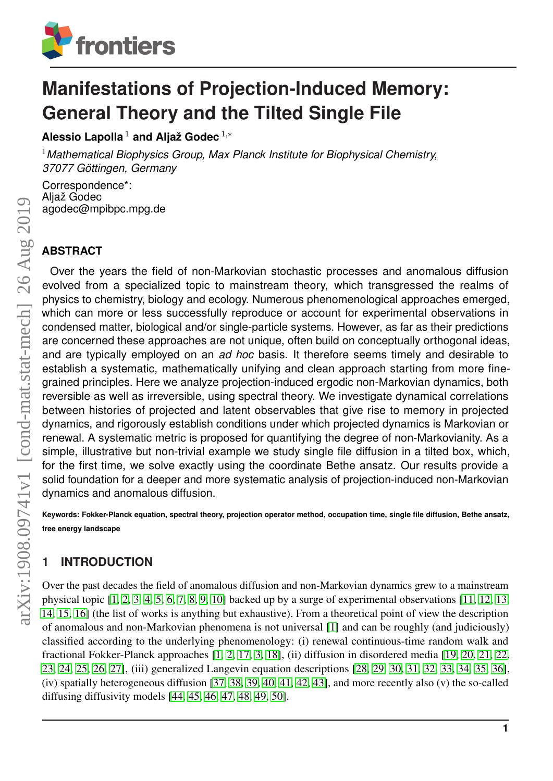

# **Manifestations of Projection-Induced Memory: General Theory and the Tilted Single File**

**Alessio Lapolla** <sup>1</sup> **and Aljaˇz Godec** <sup>1</sup>,<sup>∗</sup>

<sup>1</sup>*Mathematical Biophysics Group, Max Planck Institute for Biophysical Chemistry, 37077 Gottingen, Germany ¨*

Correspondence\*: Aljaž Godec agodec@mpibpc.mpg.de

### **ABSTRACT**

Over the years the field of non-Markovian stochastic processes and anomalous diffusion evolved from a specialized topic to mainstream theory, which transgressed the realms of physics to chemistry, biology and ecology. Numerous phenomenological approaches emerged, which can more or less successfully reproduce or account for experimental observations in condensed matter, biological and/or single-particle systems. However, as far as their predictions are concerned these approaches are not unique, often build on conceptually orthogonal ideas, and are typically employed on an *ad hoc* basis. It therefore seems timely and desirable to establish a systematic, mathematically unifying and clean approach starting from more finegrained principles. Here we analyze projection-induced ergodic non-Markovian dynamics, both reversible as well as irreversible, using spectral theory. We investigate dynamical correlations between histories of projected and latent observables that give rise to memory in projected dynamics, and rigorously establish conditions under which projected dynamics is Markovian or renewal. A systematic metric is proposed for quantifying the degree of non-Markovianity. As a simple, illustrative but non-trivial example we study single file diffusion in a tilted box, which, for the first time, we solve exactly using the coordinate Bethe ansatz. Our results provide a solid foundation for a deeper and more systematic analysis of projection-induced non-Markovian dynamics and anomalous diffusion.

**Keywords: Fokker-Planck equation, spectral theory, projection operator method, occupation time, single file diffusion, Bethe ansatz, free energy landscape**

# **1 INTRODUCTION**

Over the past decades the field of anomalous diffusion and non-Markovian dynamics grew to a mainstream physical topic [\[1,](#page-19-0) [2,](#page-19-1) [3,](#page-19-2) [4,](#page-19-3) [5,](#page-19-4) [6,](#page-19-5) [7,](#page-19-6) [8,](#page-19-7) [9,](#page-19-8) [10\]](#page-19-9) backed up by a surge of experimental observations [\[11,](#page-20-0) [12,](#page-20-1) [13,](#page-20-2) [14,](#page-20-3) [15,](#page-20-4) [16\]](#page-20-5) (the list of works is anything but exhaustive). From a theoretical point of view the description of anomalous and non-Markovian phenomena is not universal [\[1\]](#page-19-0) and can be roughly (and judiciously) classified according to the underlying phenomenology: (i) renewal continuous-time random walk and fractional Fokker-Planck approaches [\[1,](#page-19-0) [2,](#page-19-1) [17,](#page-20-6) [3,](#page-19-2) [18\]](#page-20-7), (ii) diffusion in disordered media [\[19,](#page-20-8) [20,](#page-20-9) [21,](#page-20-10) [22,](#page-20-11) [23,](#page-20-12) [24,](#page-20-13) [25,](#page-20-14) [26,](#page-20-15) [27\]](#page-20-16), (iii) generalized Langevin equation descriptions [\[28,](#page-21-0) [29,](#page-21-1) [30,](#page-21-2) [31,](#page-21-3) [32,](#page-21-4) [33,](#page-21-5) [34,](#page-21-6) [35,](#page-21-7) [36\]](#page-21-8), (iv) spatially heterogeneous diffusion [\[37,](#page-21-9) [38,](#page-21-10) [39,](#page-21-11) [40,](#page-21-12) [41,](#page-21-13) [42,](#page-21-14) [43\]](#page-21-15), and more recently also (v) the so-called diffusing diffusivity models [\[44,](#page-21-16) [45,](#page-21-17) [46,](#page-21-18) [47,](#page-21-19) [48,](#page-22-0) [49,](#page-22-1) [50\]](#page-22-2).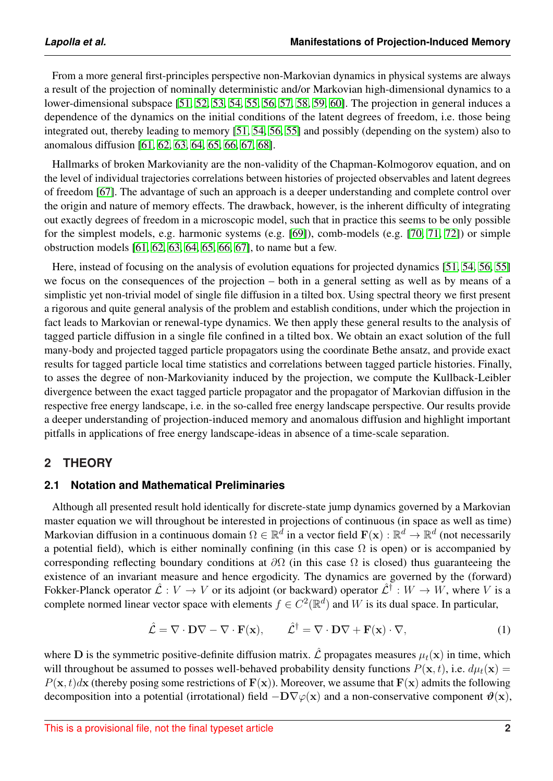From a more general first-principles perspective non-Markovian dynamics in physical systems are always a result of the projection of nominally deterministic and/or Markovian high-dimensional dynamics to a lower-dimensional subspace [\[51,](#page-22-3) [52,](#page-22-4) [53,](#page-22-5) [54,](#page-22-6) [55,](#page-22-7) [56,](#page-22-8) [57,](#page-22-9) [58,](#page-22-10) [59,](#page-22-11) [60\]](#page-22-12). The projection in general induces a dependence of the dynamics on the initial conditions of the latent degrees of freedom, i.e. those being integrated out, thereby leading to memory [\[51,](#page-22-3) [54,](#page-22-6) [56,](#page-22-8) [55\]](#page-22-7) and possibly (depending on the system) also to anomalous diffusion [\[61,](#page-22-13) [62,](#page-22-14) [63,](#page-22-15) [64,](#page-22-16) [65,](#page-22-17) [66,](#page-22-18) [67,](#page-23-0) [68\]](#page-23-1).

Hallmarks of broken Markovianity are the non-validity of the Chapman-Kolmogorov equation, and on the level of individual trajectories correlations between histories of projected observables and latent degrees of freedom [\[67\]](#page-23-0). The advantage of such an approach is a deeper understanding and complete control over the origin and nature of memory effects. The drawback, however, is the inherent difficulty of integrating out exactly degrees of freedom in a microscopic model, such that in practice this seems to be only possible for the simplest models, e.g. harmonic systems (e.g. [\[69\]](#page-23-2)), comb-models (e.g. [\[70,](#page-23-3) [71,](#page-23-4) [72\]](#page-23-5)) or simple obstruction models [\[61,](#page-22-13) [62,](#page-22-14) [63,](#page-22-15) [64,](#page-22-16) [65,](#page-22-17) [66,](#page-22-18) [67\]](#page-23-0), to name but a few.

Here, instead of focusing on the analysis of evolution equations for projected dynamics [\[51,](#page-22-3) [54,](#page-22-6) [56,](#page-22-8) [55\]](#page-22-7) we focus on the consequences of the projection – both in a general setting as well as by means of a simplistic yet non-trivial model of single file diffusion in a tilted box. Using spectral theory we first present a rigorous and quite general analysis of the problem and establish conditions, under which the projection in fact leads to Markovian or renewal-type dynamics. We then apply these general results to the analysis of tagged particle diffusion in a single file confined in a tilted box. We obtain an exact solution of the full many-body and projected tagged particle propagators using the coordinate Bethe ansatz, and provide exact results for tagged particle local time statistics and correlations between tagged particle histories. Finally, to asses the degree of non-Markovianity induced by the projection, we compute the Kullback-Leibler divergence between the exact tagged particle propagator and the propagator of Markovian diffusion in the respective free energy landscape, i.e. in the so-called free energy landscape perspective. Our results provide a deeper understanding of projection-induced memory and anomalous diffusion and highlight important pitfalls in applications of free energy landscape-ideas in absence of a time-scale separation.

# **2 THEORY**

### **2.1 Notation and Mathematical Preliminaries**

Although all presented result hold identically for discrete-state jump dynamics governed by a Markovian master equation we will throughout be interested in projections of continuous (in space as well as time) Markovian diffusion in a continuous domain  $\Omega \in \mathbb{R}^d$  in a vector field  $F(\mathbf{x}) : \mathbb{R}^d \to \mathbb{R}^d$  (not necessarily a potential field), which is either nominally confining (in this case  $\Omega$  is open) or is accompanied by corresponding reflecting boundary conditions at  $\partial\Omega$  (in this case  $\Omega$  is closed) thus guaranteeing the existence of an invariant measure and hence ergodicity. The dynamics are governed by the (forward) Fokker-Planck operator  $\hat{\mathcal{L}}: V \to V$  or its adjoint (or backward) operator  $\hat{\mathcal{L}}^{\dagger}: W \to W$ , where V is a complete normed linear vector space with elements  $f \in C^2(\mathbb{R}^d)$  and W is its dual space. In particular,

<span id="page-1-0"></span>
$$
\hat{\mathcal{L}} = \nabla \cdot \mathbf{D} \nabla - \nabla \cdot \mathbf{F}(\mathbf{x}), \qquad \hat{\mathcal{L}}^{\dagger} = \nabla \cdot \mathbf{D} \nabla + \mathbf{F}(\mathbf{x}) \cdot \nabla, \tag{1}
$$

where D is the symmetric positive-definite diffusion matrix.  $\hat{\mathcal{L}}$  propagates measures  $\mu_t(\mathbf{x})$  in time, which will throughout be assumed to posses well-behaved probability density functions  $P(\mathbf{x}, t)$ , i.e.  $d\mu_t(\mathbf{x}) =$  $P(\mathbf{x}, t)dx$  (thereby posing some restrictions of  $\mathbf{F}(\mathbf{x})$ ). Moreover, we assume that  $\mathbf{F}(\mathbf{x})$  admits the following decomposition into a potential (irrotational) field  $-\mathbf{D}\nabla\varphi(\mathbf{x})$  and a non-conservative component  $\vartheta(\mathbf{x})$ ,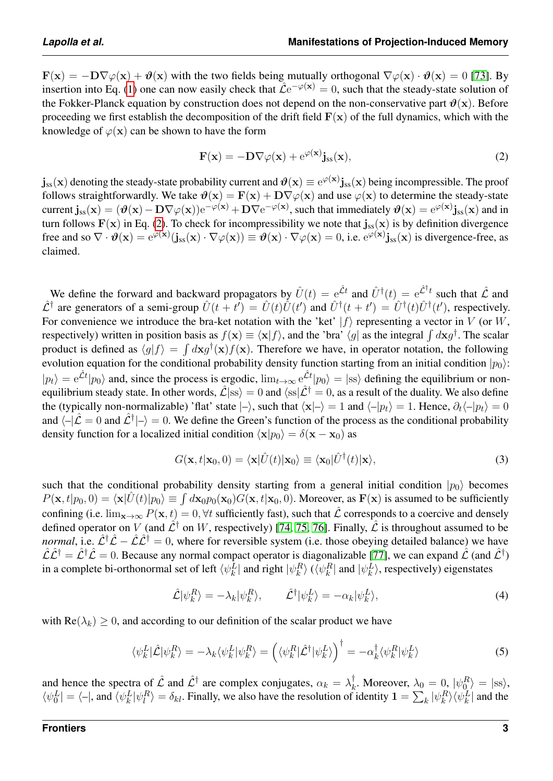$\mathbf{F}(\mathbf{x}) = -\mathbf{D}\nabla\varphi(\mathbf{x}) + \vartheta(\mathbf{x})$  with the two fields being mutually orthogonal  $\nabla\varphi(\mathbf{x}) \cdot \vartheta(\mathbf{x}) = 0$  [\[73\]](#page-23-6). By insertion into Eq. [\(1\)](#page-1-0) one can now easily check that  $\hat{L}e^{-\varphi(x)} = 0$ , such that the steady-state solution of the Fokker-Planck equation by construction does not depend on the non-conservative part  $\vartheta(x)$ . Before proceeding we first establish the decomposition of the drift field  $F(x)$  of the full dynamics, which with the knowledge of  $\varphi(\mathbf{x})$  can be shown to have the form

<span id="page-2-0"></span>
$$
\mathbf{F}(\mathbf{x}) = -\mathbf{D}\nabla\varphi(\mathbf{x}) + e^{\varphi(\mathbf{x})}\mathbf{j}_{ss}(\mathbf{x}),\tag{2}
$$

 $j_{ss}(x)$  denoting the steady-state probability current and  $\vartheta(x) \equiv e^{\varphi(x)}j_{ss}(x)$  being incompressible. The proof follows straightforwardly. We take  $\vartheta(x) = F(x) + D\nabla\varphi(x)$  and use  $\varphi(x)$  to determine the steady-state current  $\mathbf{j}_{ss}(\mathbf{x}) = (\mathbf{\theta}(\mathbf{x}) - \mathbf{D}\nabla\varphi(\mathbf{x}))e^{-\varphi(\mathbf{x})} + \mathbf{D}\nabla e^{-\varphi(\mathbf{x})}$ , such that immediately  $\mathbf{\theta}(\mathbf{x}) = e^{\varphi(\mathbf{x})}\mathbf{j}_{ss}(\mathbf{x})$  and in turn follows  $F(x)$  in Eq. [\(2\)](#page-2-0). To check for incompressibility we note that  $j_{ss}(x)$  is by definition divergence free and so  $\nabla \cdot \boldsymbol{\vartheta}(\mathbf{x}) = e^{\varphi(\mathbf{x})} (\mathbf{j}_{ss}(\mathbf{x}) \cdot \nabla \varphi(\mathbf{x})) \equiv \boldsymbol{\vartheta}(\mathbf{x}) \cdot \nabla \varphi(\mathbf{x}) = 0$ , i.e.  $e^{\varphi(\mathbf{x})} \mathbf{j}_{ss}(\mathbf{x})$  is divergence-free, as claimed.

We define the forward and backward propagators by  $\hat{U}(t) = e^{\hat{L}t}$  and  $\hat{U}^{\dagger}(t) = e^{\hat{L}^{\dagger}t}$  such that  $\hat{L}$  and  $\hat{\mathcal{L}}^{\dagger}$  are generators of a semi-group  $\hat{U}(t + t') = \hat{U}(t)\hat{U}(t')$  and  $\hat{U}^{\dagger}(t + t') = \hat{U}^{\dagger}(t)\hat{U}^{\dagger}(t')$ , respectively. For convenience we introduce the bra-ket notation with the 'ket'  $|f\rangle$  representing a vector in V (or W, respectively) written in position basis as  $f(\mathbf{x}) \equiv \langle \mathbf{x} | f \rangle$ , and the 'bra'  $\langle g |$  as the integral  $\int d\mathbf{x} g^{\dagger}$ . The scalar product is defined as  $\langle g|f \rangle = \int d\mathbf{x} g^{\dagger}(\mathbf{x}) f(\mathbf{x})$ . Therefore we have, in operator notation, the following evolution equation for the conditional probability density function starting from an initial condition  $|p_0\rangle$ :  $|p_t\rangle = e^{\hat{\mathcal{L}}t} |p_0\rangle$  and, since the process is ergodic,  $\lim_{t\to\infty} e^{\hat{\mathcal{L}}t} |p_0\rangle = |{\rm ss}\rangle$  defining the equilibrium or nonequilibrium steady state. In other words,  $\hat{\cal L} |{\rm ss}\rangle = 0$  and  $\langle{\rm ss}|\hat{\cal L}^\dag=0$ , as a result of the duality. We also define the (typically non-normalizable) 'flat' state  $|\rightarrow\rangle$ , such that  $\langle x|\rightarrow\rangle = 1$  and  $\langle -|p_t\rangle = 1$ . Hence,  $\partial_t \langle -|p_t\rangle = 0$ and  $\langle -|\hat{\mathcal{L}}=0$  and  $\hat{\mathcal{L}}^{\dagger}|\$  = 0. We define the Green's function of the process as the conditional probability density function for a localized initial condition  $\langle x|p_0\rangle = \delta(x - x_0)$  as

$$
G(\mathbf{x}, t | \mathbf{x}_0, 0) = \langle \mathbf{x} | \hat{U}(t) | \mathbf{x}_0 \rangle \equiv \langle \mathbf{x}_0 | \hat{U}^\dagger(t) | \mathbf{x} \rangle,
$$
\n(3)

such that the conditional probability density starting from a general initial condition  $|p_0\rangle$  becomes  $P(\mathbf{x}, t|p_0, 0) = \langle \mathbf{x} | \hat{U}(t) | p_0 \rangle \equiv \int d\mathbf{x}_0 p_0(\mathbf{x}_0) G(\mathbf{x}, t|\mathbf{x}_0, 0)$ . Moreover, as  $\mathbf{F}(\mathbf{x})$  is assumed to be sufficiently confining (i.e.  $\lim_{x\to\infty} P(x, t) = 0$ ,  $\forall t$  sufficiently fast), such that  $\hat{\mathcal{L}}$  corresponds to a coercive and densely defined operator on V (and  $\hat{\mathcal{L}}^{\dagger}$  on W, respectively) [\[74,](#page-23-7) [75,](#page-23-8) [76\]](#page-23-9). Finally,  $\hat{\mathcal{L}}$  is throughout assumed to be *normal*, i.e.  $\hat{\mathcal{L}}^{\dagger}\hat{\mathcal{L}} - \hat{\mathcal{L}}\hat{\mathcal{L}}^{\dagger} = 0$ , where for reversible system (i.e. those obeying detailed balance) we have  $\hat{\mathcal{L}}\hat{\mathcal{L}}^{\dagger} = \hat{\mathcal{L}}^{\dagger}\hat{\mathcal{L}} = 0$ . Because any normal compact operator is diagonalizable [\[77\]](#page-23-10), we can expand  $\hat{\mathcal{L}}$  (and  $\hat{\mathcal{L}}^{\dagger}$ ) in a complete bi-orthonormal set of left  $\langle \psi_k^L \rangle$  $\vert k \vert^L$  and right  $\vert \psi^R_k \vert^L$  $\langle k \rangle^{R}$  (  $\langle \psi^{R}_{k} \rangle$  $|k_R^R|$  and  $|\psi_k^L|$  $\binom{L}{k}$ , respectively) eigenstates

$$
\hat{\mathcal{L}}|\psi_k^R\rangle = -\lambda_k|\psi_k^R\rangle, \qquad \hat{\mathcal{L}}^\dagger|\psi_k^L\rangle = -\alpha_k|\psi_k^L\rangle,\tag{4}
$$

with  $\text{Re}(\lambda_k) \geq 0$ , and according to our definition of the scalar product we have

$$
\langle \psi_k^L | \hat{\mathcal{L}} | \psi_k^R \rangle = -\lambda_k \langle \psi_k^L | \psi_k^R \rangle = \left( \langle \psi_k^R | \hat{\mathcal{L}}^\dagger | \psi_k^L \rangle \right)^\dagger = -\alpha_k^\dagger \langle \psi_k^R | \psi_k^L \rangle \tag{5}
$$

and hence the spectra of  $\hat{\mathcal{L}}$  and  $\hat{\mathcal{L}}^{\dagger}$  are complex conjugates,  $\alpha_k = \lambda_k^{\dagger}$ . Moreover,  $\lambda_0 = 0$ ,  $|\psi_0^R\rangle = |ss\rangle$ ,  $\langle \psi_0^L | = \langle - |$ , and  $\langle \psi_k^L \rangle$  $\frac{L}{k}|\psi_l^R$  $\vert h_l^R\rangle = \delta_{kl}$ . Finally, we also have the resolution of identity  $1 = \sum_k |\psi_k^R|$  $\langle k^R \rangle \langle \psi^L_k$  $\frac{L}{k}$  and the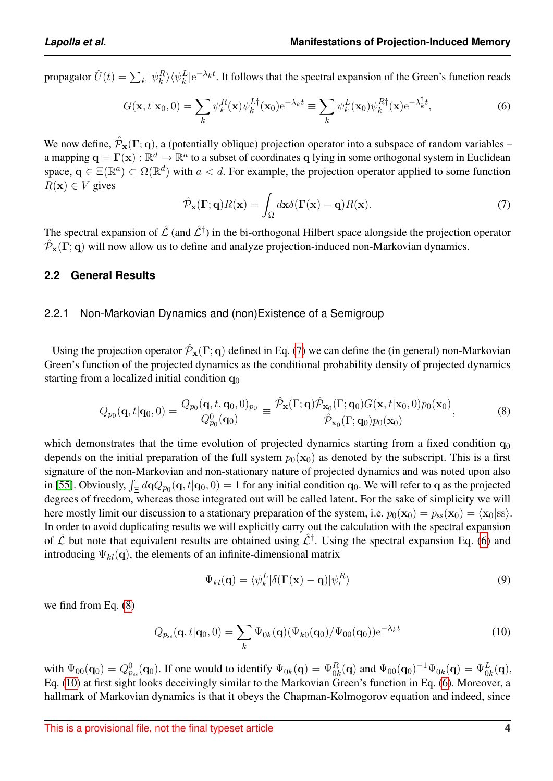propagator  $\hat{U}(t) = \sum_{k} |\psi_k^R|$  $\langle k^R \rangle \langle \psi^L_k$  $_{k}^{L}$ |e<sup>- $\lambda_{k}t$ </sup>. It follows that the spectral expansion of the Green's function reads

<span id="page-3-1"></span>
$$
G(\mathbf{x},t|\mathbf{x}_0,0) = \sum_k \psi_k^R(\mathbf{x})\psi_k^{L\dagger}(\mathbf{x}_0) e^{-\lambda_k t} \equiv \sum_k \psi_k^L(\mathbf{x}_0)\psi_k^{R\dagger}(\mathbf{x}) e^{-\lambda_k^{\dagger}t},\tag{6}
$$

We now define,  $\hat{\mathcal{P}}_x(\Gamma; q)$ , a (potentially oblique) projection operator into a subspace of random variables – a mapping  $\mathbf{q} = \Gamma(\mathbf{x}) : \mathbb{R}^d \to \mathbb{R}^a$  to a subset of coordinates q lying in some orthogonal system in Euclidean space,  $q \in \Xi(\mathbb{R}^a) \subset \Omega(\mathbb{R}^d)$  with  $a < d$ . For example, the projection operator applied to some function  $R(\mathbf{x}) \in V$  gives

<span id="page-3-0"></span>
$$
\hat{\mathcal{P}}_{\mathbf{x}}(\mathbf{\Gamma}; \mathbf{q}) R(\mathbf{x}) = \int_{\Omega} d\mathbf{x} \delta(\mathbf{\Gamma}(\mathbf{x}) - \mathbf{q}) R(\mathbf{x}). \tag{7}
$$

The spectral expansion of  $\hat{\mathcal{L}}$  (and  $\hat{\mathcal{L}}^{\dagger}$ ) in the bi-orthogonal Hilbert space alongside the projection operator  $\hat{\mathcal{P}}_{\mathbf{x}}(\Gamma; \mathbf{q})$  will now allow us to define and analyze projection-induced non-Markovian dynamics.

#### **2.2 General Results**

#### 2.2.1 Non-Markovian Dynamics and (non)Existence of a Semigroup

Using the projection operator  $\hat{\mathcal{P}}_x(\Gamma; q)$  defined in Eq. [\(7\)](#page-3-0) we can define the (in general) non-Markovian Green's function of the projected dynamics as the conditional probability density of projected dynamics starting from a localized initial condition  $q_0$ 

<span id="page-3-2"></span>
$$
Q_{p_0}(\mathbf{q},t|\mathbf{q}_0,0) = \frac{Q_{p_0}(\mathbf{q},t,\mathbf{q}_0,0)_{p_0}}{Q_{p_0}^0(\mathbf{q}_0)} \equiv \frac{\hat{\mathcal{P}}_{\mathbf{x}}(\Gamma;\mathbf{q})\hat{\mathcal{P}}_{\mathbf{x}_0}(\Gamma;\mathbf{q}_0)G(\mathbf{x},t|\mathbf{x}_0,0)p_0(\mathbf{x}_0)}{\hat{\mathcal{P}}_{\mathbf{x}_0}(\Gamma;\mathbf{q}_0)p_0(\mathbf{x}_0)},
$$
\n(8)

which demonstrates that the time evolution of projected dynamics starting from a fixed condition  $q_0$ depends on the initial preparation of the full system  $p_0(\mathbf{x}_0)$  as denoted by the subscript. This is a first signature of the non-Markovian and non-stationary nature of projected dynamics and was noted upon also in [\[55\]](#page-22-7). Obviously,  $\int_{\Xi} d\mathbf{q} Q_{p_0}(\mathbf{q}, t|\mathbf{q}_0, 0) = 1$  for any initial condition  $\mathbf{q}_0$ . We will refer to  $\mathbf{q}$  as the projected degrees of freedom, whereas those integrated out will be called latent. For the sake of simplicity we will here mostly limit our discussion to a stationary preparation of the system, i.e.  $p_0(\mathbf{x}_0) = p_{ss}(\mathbf{x}_0) = \langle \mathbf{x}_0 | \text{ss} \rangle$ . In order to avoid duplicating results we will explicitly carry out the calculation with the spectral expansion of  $\hat{\mathcal{L}}$  but note that equivalent results are obtained using  $\hat{\mathcal{L}}^{\dagger}$ . Using the spectral expansion Eq. [\(6\)](#page-3-1) and introducing  $\Psi_{kl}(\mathbf{q})$ , the elements of an infinite-dimensional matrix

<span id="page-3-4"></span>
$$
\Psi_{kl}(\mathbf{q}) = \langle \psi_k^L | \delta(\mathbf{\Gamma}(\mathbf{x}) - \mathbf{q}) | \psi_l^R \rangle \tag{9}
$$

we find from Eq. [\(8\)](#page-3-2)

<span id="page-3-3"></span>
$$
Q_{pss}(\mathbf{q},t|\mathbf{q}_0,0) = \sum_{k} \Psi_{0k}(\mathbf{q}) (\Psi_{k0}(\mathbf{q}_0)) \Psi_{00}(\mathbf{q}_0)) e^{-\lambda_k t}
$$
(10)

with  $\Psi_{00}(\mathbf{q}_0)=Q_{p_{\text{ss}}}^0(\mathbf{q}_0).$  If one would to identify  $\Psi_{0k}(\mathbf{q})=\Psi^R_{0k}(\mathbf{q})$  and  $\Psi_{00}(\mathbf{q}_0)^{-1}\Psi_{0k}(\mathbf{q})=\Psi^L_{0k}(\mathbf{q}),$ Eq. [\(10\)](#page-3-3) at first sight looks deceivingly similar to the Markovian Green's function in Eq. [\(6\)](#page-3-1). Moreover, a hallmark of Markovian dynamics is that it obeys the Chapman-Kolmogorov equation and indeed, since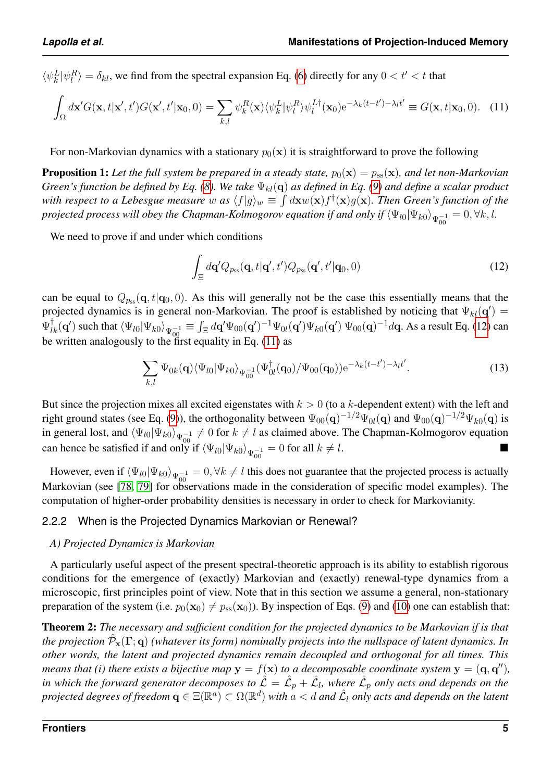$\langle \psi_k^L$  $\frac{L}{k}|\psi_l^R$  $\vert h_l^H \rangle = \delta_{kl}$ , we find from the spectral expansion Eq. [\(6\)](#page-3-1) directly for any  $0 < t' < t$  that

<span id="page-4-1"></span>
$$
\int_{\Omega} d\mathbf{x}' G(\mathbf{x}, t | \mathbf{x}', t') G(\mathbf{x}', t' | \mathbf{x}_0, 0) = \sum_{k,l} \psi_k^R(\mathbf{x}) \langle \psi_k^L | \psi_l^R \rangle \psi_l^{L\dagger}(\mathbf{x}_0) e^{-\lambda_k (t - t') - \lambda_l t'} \equiv G(\mathbf{x}, t | \mathbf{x}_0, 0). \tag{11}
$$

For non-Markovian dynamics with a stationary  $p_0(\mathbf{x})$  it is straightforward to prove the following

**Proposition 1:** Let the full system be prepared in a steady state,  $p_0(\mathbf{x}) = p_{ss}(\mathbf{x})$ , and let non-Markovian *Green's function be defined by Eq.* [\(8\)](#page-3-2)*. We take*  $\Psi_{kl}(\mathbf{q})$  *as defined in Eq.* [\(9\)](#page-3-4) *and define a scalar product* with respect to a Lebesgue measure  $w$  as  $\langle f|g\rangle_w\equiv \int d{\bf x} w({\bf x})f^\dagger({\bf x})g({\bf x})$ . Then Green's function of the *projected process will obey the Chapman-Kolmogorov equation if and only if*  $\langle\Psi_{l0}|\Psi_{k0}\rangle_{\Psi_{00}^{-1}}=0, \forall k,l.$ 

We need to prove if and under which conditions

<span id="page-4-0"></span>
$$
\int_{\Xi} d\mathbf{q}' Q_{pss}(\mathbf{q},t|\mathbf{q}',t') Q_{pss}(\mathbf{q}',t'|\mathbf{q}_0,0)
$$
\n(12)

can be equal to  $Q_{p_{ss}}(\mathbf{q}, t | \mathbf{q}_0, 0)$ . As this will generally not be the case this essentially means that the projected dynamics is in general non-Markovian. The proof is established by noticing that  $\Psi_{kl}(\mathbf{q}') =$  $\Psi_{lk}^{\dagger}(\mathbf{q}')$  such that  $\langle\Psi_{l0}|\Psi_{k0}\rangle_{\Psi_{00}^{-1}}\equiv\int_{\Xi}d\mathbf{q}'\Psi_{00}(\mathbf{q}')^{-1}\Psi_{0l}(\mathbf{q}')\Psi_{k0}(\mathbf{q}')\Psi_{00}(\mathbf{q})^{-1}d\mathbf{q}$ . As a result Eq. [\(12\)](#page-4-0) can be written analogously to the first equality in Eq.  $(11)$  as

$$
\sum_{k,l} \Psi_{0k}(\mathbf{q}) \langle \Psi_{l0} | \Psi_{k0} \rangle_{\Psi_{00}^{-1}} (\Psi_{0l}^{\dagger}(\mathbf{q}_0) / \Psi_{00}(\mathbf{q}_0)) e^{-\lambda_k (t-t') - \lambda_l t'}.
$$
\n(13)

But since the projection mixes all excited eigenstates with  $k > 0$  (to a k-dependent extent) with the left and right ground states (see Eq. [\(9\)](#page-3-4)), the orthogonality between  $\Psi_{00}(\mathbf{q})^{-1/2}\Psi_{0l}(\mathbf{q})$  and  $\Psi_{00}(\mathbf{q})^{-1/2}\Psi_{k0}(\mathbf{q})$  is in general lost, and  $\langle\Psi_{l0}|\Psi_{k0}\rangle_{\Psi_{00}^{-1}}\neq 0$  for  $k\neq l$  as claimed above. The Chapman-Kolmogorov equation can hence be satisfied if and only if  $\langle \Psi_{l0} | \Psi_{k0} \rangle_{\Psi_{00}^{-1}} = 0$  for all  $k \neq l$ .

However, even if  $\langle \Psi_{l0} | \Psi_{k0} \rangle_{\Psi_{00}^{-1}} = 0, \forall k \neq l$  this does not guarantee that the projected process is actually Markovian (see [\[78,](#page-23-11) [79\]](#page-23-12) for observations made in the consideration of specific model examples). The computation of higher-order probability densities is necessary in order to check for Markovianity.

2.2.2 When is the Projected Dynamics Markovian or Renewal?

#### *A) Projected Dynamics is Markovian*

A particularly useful aspect of the present spectral-theoretic approach is its ability to establish rigorous conditions for the emergence of (exactly) Markovian and (exactly) renewal-type dynamics from a microscopic, first principles point of view. Note that in this section we assume a general, non-stationary preparation of the system (i.e.  $p_0(\mathbf{x}_0) \neq p_{ss}(\mathbf{x}_0)$ ). By inspection of Eqs. [\(9\)](#page-3-4) and [\(10\)](#page-3-3) one can establish that:

Theorem 2: *The necessary and sufficient condition for the projected dynamics to be Markovian if is that* the projection  $\hat{\cal P}_{{\bf x}}(\Gamma;{\bf q})$  (whatever its form) nominally projects into the nullspace of latent dynamics. In *other words, the latent and projected dynamics remain decoupled and orthogonal for all times. This means that (i) there exists a bijective map*  $y = f(x)$  *to a decomposable coordinate system*  $y = (q, q'')$ *,* in which the forward generator decomposes to  $\hat{\mathcal{L}}=\hat{\mathcal{L}}_p+\hat{\mathcal{L}}_l$ , where  $\hat{\mathcal{L}}_p$  only acts and depends on the *projected degrees of freedom*  $q \in \Xi(\mathbb{R}^a) \subset \Omega(\mathbb{R}^d)$  with  $a < d$  and  $\hat{\mathcal{L}}_l$  only acts and depends on the latent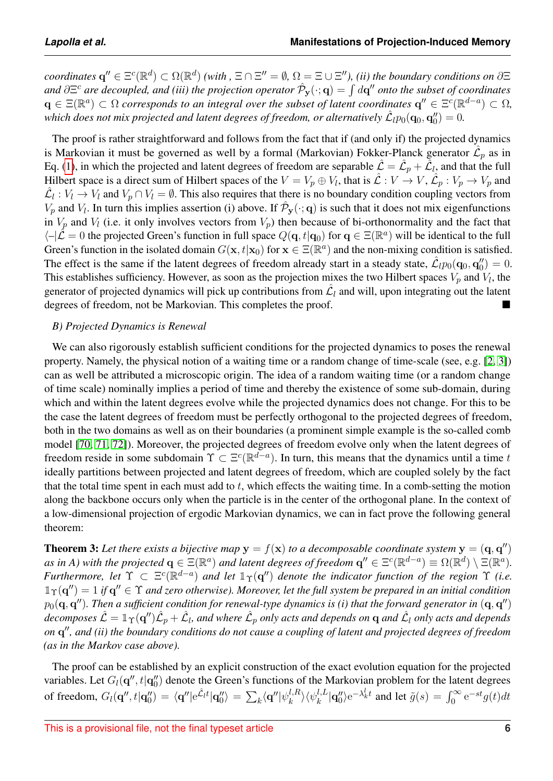$coordinates \ q'' \in \Xi^c(\mathbb{R}^d) \subset \Omega(\mathbb{R}^d)$  *(with* ,  $\Xi \cap \Xi'' = \emptyset$ ,  $\Omega = \Xi \cup \Xi''$ ), *(ii) the boundary conditions on*  $\partial \Xi$ and  $\partial \Xi^c$  are decoupled, and (iii) the projection operator  $\hat{\mathcal{P}}_\mathbf{y}(\cdot; \mathbf{q}) = \int d\mathbf{q}''$  onto the subset of coordinates  $\mathbf{q}\in\Xi(\mathbb{R}^a)\subset\Omega$  corresponds to an integral over the subset of latent coordinates  $\mathbf{q}''\in\Xi^c(\mathbb{R}^{d-a})\subset\Omega$ , which does not mix projected and latent degrees of freedom, or alternatively  $\hat{\mathcal{L}}_{l}p_0(\mathbf{q}_0,\mathbf{q}''_0)=0$ .

The proof is rather straightforward and follows from the fact that if (and only if) the projected dynamics is Markovian it must be governed as well by a formal (Markovian) Fokker-Planck generator  $\hat{\mathcal{L}}_p$  as in Eq. [\(1\)](#page-1-0), in which the projected and latent degrees of freedom are separable  $\hat{\mathcal{L}} = \hat{\mathcal{L}}_p + \hat{\mathcal{L}}_l$  and that the full Hilbert space is a direct sum of Hilbert spaces of the  $V = V_p \oplus V_l$ , that is  $\mathcal{\hat{L}} : V \to V$ ,  $\mathcal{\hat{L}}_p : V_p \to V_p$  and  $\hat{\mathcal{L}}_l: V_l \to V_l$  and  $V_p \cap V_l = \emptyset$ . This also requires that there is no boundary condition coupling vectors from  $V_p$  and  $V_l$ . In turn this implies assertion (i) above. If  $\hat{\mathcal{P}}_y(\cdot; q)$  is such that it does not mix eigenfunctions in  $V_p$  and  $V_l$  (i.e. it only involves vectors from  $V_p$ ) then because of bi-orthonormality and the fact that  $\langle -|\hat{\mathcal{L}}|=0$  the projected Green's function in full space  $Q(\mathbf{q}, t|\mathbf{q}_0)$  for  $\mathbf{q} \in \Xi(\mathbb{R}^a)$  will be identical to the full Green's function in the isolated domain  $G(\mathbf{x}, t | \mathbf{x}_0)$  for  $\mathbf{x} \in \Xi(\mathbb{R}^a)$  and the non-mixing condition is satisfied. The effect is the same if the latent degrees of freedom already start in a steady state,  $\hat{\mathcal{L}}_l p_0(\mathbf{q}_0, \mathbf{q}_0'') = 0$ . This establishes sufficiency. However, as soon as the projection mixes the two Hilbert spaces  $V_p$  and  $V_l$ , the generator of projected dynamics will pick up contributions from  $\hat{\mathcal{L}}_l$  and will, upon integrating out the latent degrees of freedom, not be Markovian. This completes the proof.

#### *B) Projected Dynamics is Renewal*

We can also rigorously establish sufficient conditions for the projected dynamics to poses the renewal property. Namely, the physical notion of a waiting time or a random change of time-scale (see, e.g. [\[2,](#page-19-1) [3\]](#page-19-2)) can as well be attributed a microscopic origin. The idea of a random waiting time (or a random change of time scale) nominally implies a period of time and thereby the existence of some sub-domain, during which and within the latent degrees evolve while the projected dynamics does not change. For this to be the case the latent degrees of freedom must be perfectly orthogonal to the projected degrees of freedom, both in the two domains as well as on their boundaries (a prominent simple example is the so-called comb model [\[70,](#page-23-3) [71,](#page-23-4) [72\]](#page-23-5)). Moreover, the projected degrees of freedom evolve only when the latent degrees of freedom reside in some subdomain  $\Upsilon \subset \Xi^c(\mathbb{R}^{d-a})$ . In turn, this means that the dynamics until a time t ideally partitions between projected and latent degrees of freedom, which are coupled solely by the fact that the total time spent in each must add to  $t$ , which effects the waiting time. In a comb-setting the motion along the backbone occurs only when the particle is in the center of the orthogonal plane. In the context of a low-dimensional projection of ergodic Markovian dynamics, we can in fact prove the following general theorem:

**Theorem 3:** Let there exists a bijective map  $y = f(x)$  to a decomposable coordinate system  $y = (q, q'')$ as in A) with the projected  $\mathbf{q} \in \Xi(\mathbb{R}^a)$  and latent degrees of freedom  $\mathbf{q}'' \in \Xi^c(\mathbb{R}^{d-a}) \equiv \Omega(\mathbb{R}^d) \setminus \Xi(\mathbb{R}^a)$ . *Furthermore, let*  $\Upsilon \subset \Xi^c(\mathbb{R}^{d-a})$  *and let*  $\mathbb{1}_{\Upsilon}(\mathbf{q}'')$  *denote the indicator function of the region*  $\Upsilon$  *(i.e.*  $\ln \ln(q'') = 1$  if  $q'' \in \Upsilon$  and zero otherwise). Moreover, let the full system be prepared in an initial condition  $p_0({\bf q},{\bf q}'')$ . Then a sufficient condition for renewal-type dynamics is (i) that the forward generator in  $({\bf q},{\bf q}'')$  $decomposes \ \hat{\mathcal{L}}=\mathbb{I}_\Upsilon(q'')\hat{\mathcal{L}}_p+\hat{\mathcal{L}}_l$ , and where  $\hat{\mathcal{L}}_p$  only acts and depends on  ${\bf q}$  and  $\hat{\mathcal{L}}_l$  only acts and depends *on* q 00*, and (ii) the boundary conditions do not cause a coupling of latent and projected degrees of freedom (as in the Markov case above).*

The proof can be established by an explicit construction of the exact evolution equation for the projected variables. Let  $G_l(\mathbf{q}'',t|\mathbf{q}''_0)$  denote the Green's functions of the Markovian problem for the latent degrees of freedom,  $G_l(\mathbf{q}'',t|\mathbf{q}_0'') = \langle \mathbf{q}''|\mathrm{e}^{\hat{\mathcal{L}}_lt}|\mathbf{q}_0''\rangle = \sum_k \langle \mathbf{q}''|\psi_k^{l,R}$  $\langle k^{l,R} \rangle \langle \psi_k^{l,L}$  $\int_k^l L |\mathbf{q}_0''\rangle e^{-\lambda_k^l t}$  and let  $\tilde{g}(s) = \int_0^\infty e^{-st} g(t) dt$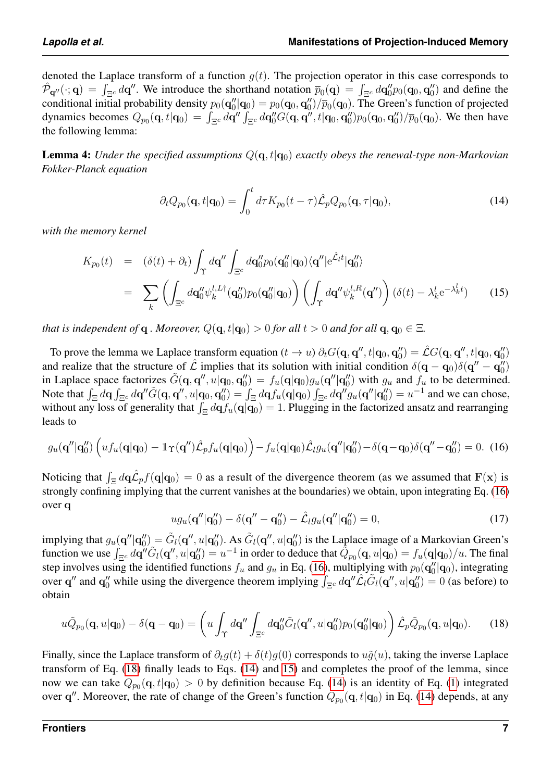denoted the Laplace transform of a function  $g(t)$ . The projection operator in this case corresponds to  $\hat{\mathcal{P}}_{\mathbf{q}''}(\cdot; \mathbf{q}) = \int_{\Xi^c} d\mathbf{q}''$ . We introduce the shorthand notation  $\overline{p}_0(\mathbf{q}) = \int_{\Xi^c} d\mathbf{q}''_0 p_0(\mathbf{q}_0, \mathbf{q}''_0)$  and define the conditional initial probability density  $p_0(\mathbf{q}_0''|\mathbf{q}_0)=p_0(\mathbf{q}_0,\mathbf{q}_0'')/\overline{p}_0(\mathbf{q}_0)$ . The Green's function of projected dynamics becomes  $Q_{p_0}(\mathbf{q},t|\mathbf{q}_0) = \int_{\Xi^c} d\mathbf{q}'' \int_{\Xi^c} d\mathbf{q}''_0 G(\mathbf{q},\mathbf{q}'',t|\mathbf{q}_0,\mathbf{q}''_0)p_0(\mathbf{q}_0,\mathbf{q}''_0)/\overline{p}_0(\mathbf{q}_0)$ . We then have the following lemma:

Lemma 4: *Under the specified assumptions*  $Q(\mathbf{q}, t | \mathbf{q}_0)$  *exactly obeys the renewal-type non-Markovian Fokker-Planck equation*

<span id="page-6-2"></span>
$$
\partial_t Q_{p_0}(\mathbf{q}, t | \mathbf{q}_0) = \int_0^t d\tau K_{p_0}(t - \tau) \hat{\mathcal{L}}_p Q_{p_0}(\mathbf{q}, \tau | \mathbf{q}_0), \tag{14}
$$

*with the memory kernel*

<span id="page-6-3"></span>
$$
K_{p_0}(t) = (\delta(t) + \partial_t) \int_{\Upsilon} d\mathbf{q}'' \int_{\Xi^c} d\mathbf{q}''_0 p_0(\mathbf{q}_0' | \mathbf{q}_0) \langle \mathbf{q}'' | e^{\hat{\mathcal{L}}_t t} | \mathbf{q}_0'' \rangle
$$
  
\n
$$
= \sum_k \left( \int_{\Xi^c} d\mathbf{q}_0'' \psi_k^{l, L\dagger}(\mathbf{q}_0'') p_0(\mathbf{q}_0' | \mathbf{q}_0) \right) \left( \int_{\Upsilon} d\mathbf{q}'' \psi_k^{l, R}(\mathbf{q}'') \right) (\delta(t) - \lambda_k^l e^{-\lambda_k^l t}) \qquad (15)
$$

*that is independent of* q. *Moreover,*  $Q(\mathbf{q}, t | \mathbf{q}_0) > 0$  *for all*  $t > 0$  *and for all*  $\mathbf{q}, \mathbf{q}_0 \in \Xi$ *.* 

To prove the lemma we Laplace transform equation  $(t \to u) \partial_t G(\mathbf{q}, \mathbf{q}'', t | \mathbf{q}_0, \mathbf{q}_0'') = \mathcal{\hat{L}}G(\mathbf{q}, \mathbf{q}'', t | \mathbf{q}_0, \mathbf{q}_0'')$ and realize that the structure of  $\hat{\mathcal{L}}$  implies that its solution with initial condition  $\delta(\mathbf{q} - \mathbf{q}_0)\delta(\mathbf{q}'' - \mathbf{q}_0'')$ in Laplace space factorizes  $\tilde{G}(\mathbf{q}, \mathbf{q}'', u | \mathbf{q}_0, \mathbf{q}_0'') = f_u(\mathbf{q} | \mathbf{q}_0) g_u(\mathbf{q}'' | \mathbf{q}_0'')$  with  $g_u$  and  $f_u$  to be determined. Note that  $\int_{\Xi} d\mathbf{q} \int_{\Xi^c} d\mathbf{q}'' \tilde{G}(\mathbf{q}, \mathbf{q}'', u | \mathbf{q}_0, \mathbf{q}_0'') = \int_{\Xi} d\mathbf{q} f_u(\mathbf{q} | \mathbf{q}_0) \int_{\Xi^c} d\mathbf{q}'' g_u(\mathbf{q}'' | \mathbf{q}_0'') = u^{-1}$  and we can chose, without any loss of generality that  $\int_{\Xi} d\mathbf{q} f_u(\mathbf{q}|\mathbf{q}_0) = 1$ . Plugging in the factorized ansatz and rearranging leads to

<span id="page-6-0"></span>
$$
g_u(\mathbf{q}''|\mathbf{q}_0'')\left(uf_u(\mathbf{q}|\mathbf{q}_0)-\mathbb{1}\gamma(\mathbf{q}'')\hat{\mathcal{L}}_pf_u(\mathbf{q}|\mathbf{q}_0)\right)-f_u(\mathbf{q}|\mathbf{q}_0)\hat{\mathcal{L}}_lg_u(\mathbf{q}''|\mathbf{q}_0'')-\delta(\mathbf{q}-\mathbf{q}_0)\delta(\mathbf{q}''-\mathbf{q}_0'')=0.
$$
 (16)

Noticing that  $\int_{\Xi} d\mathbf{q} \hat{\mathcal{L}}_p f(\mathbf{q}|\mathbf{q}_0) = 0$  as a result of the divergence theorem (as we assumed that  $\mathbf{F}(\mathbf{x})$  is strongly confining implying that the current vanishes at the boundaries) we obtain, upon integrating Eq. [\(16\)](#page-6-0) over q

$$
ug_u(\mathbf{q}''|\mathbf{q}_0'') - \delta(\mathbf{q}'' - \mathbf{q}_0'') - \hat{\mathcal{L}}_l g_u(\mathbf{q}''|\mathbf{q}_0'') = 0,
$$
\n(17)

implying that  $g_u(\mathbf{q}''|\mathbf{q}''_0) = \tilde{G}_l(\mathbf{q}'', u|\mathbf{q}''_0)$ . As  $\tilde{G}_l(\mathbf{q}'', u|\mathbf{q}''_0)$  is the Laplace image of a Markovian Green's function we use  $\int_{\Xi_c} d\mathbf{q}'' \tilde{G}_l(\mathbf{q}'', u | \mathbf{q}_0'') = u^{-1}$  in order to deduce that  $\tilde{Q}_{p_0}(\mathbf{q}, u | \mathbf{q}_0) = f_u(\mathbf{q} | \mathbf{q}_0)/u$ . The final step involves using the identified functions  $f_u$  and  $g_u$  in Eq. [\(16\)](#page-6-0), multiplying with  $p_0(\mathbf{q}_0'|\mathbf{q}_0)$ , integrating over q'' and q'' while using the divergence theorem implying  $\int_{\Xi_c} dq'' \hat{\mathcal{L}}_l \tilde{G}_l(q'', u | q''_0) = 0$  (as before) to obtain

<span id="page-6-1"></span>
$$
u\tilde{Q}_{p_0}(\mathbf{q},u|\mathbf{q}_0) - \delta(\mathbf{q} - \mathbf{q}_0) = \left(u \int_{\Upsilon} d\mathbf{q}'' \int_{\Xi^c} d\mathbf{q}''_0 \tilde{G}_l(\mathbf{q}'',u|\mathbf{q}''_0) p_0(\mathbf{q}''_0|\mathbf{q}_0)\right) \hat{\mathcal{L}}_p \tilde{Q}_{p_0}(\mathbf{q},u|\mathbf{q}_0). \tag{18}
$$

Finally, since the Laplace transform of  $\partial_t q(t) + \delta(t)q(0)$  corresponds to  $u\tilde{q}(u)$ , taking the inverse Laplace transform of Eq. [\(18\)](#page-6-1) finally leads to Eqs. [\(14\)](#page-6-2) and [15\)](#page-6-3) and completes the proof of the lemma, since now we can take  $Q_{p_0}(\mathbf{q}, t | \mathbf{q}_0) > 0$  by definition because Eq. [\(14\)](#page-6-2) is an identity of Eq. [\(1\)](#page-1-0) integrated over  $\mathbf{q}''$ . Moreover, the rate of change of the Green's function  $Q_{p_0}(\mathbf{q}, t | \mathbf{q}_0)$  in Eq. [\(14\)](#page-6-2) depends, at any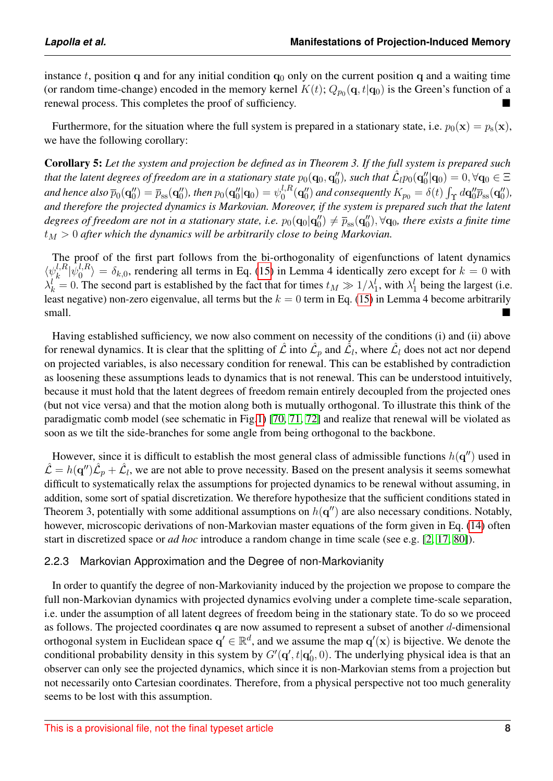instance t, position q and for any initial condition  $q_0$  only on the current position q and a waiting time (or random time-change) encoded in the memory kernel  $K(t)$ ;  $Q_{p_0}(\mathbf{q}, t | \mathbf{q}_0)$  is the Green's function of a renewal process. This completes the proof of sufficiency.

Furthermore, for the situation where the full system is prepared in a stationary state, i.e.  $p_0(\mathbf{x}) = p_s(\mathbf{x})$ , we have the following corollary:

Corollary 5: *Let the system and projection be defined as in Theorem 3. If the full system is prepared such* that the latent degrees of freedom are in a stationary state  $p_0(\mathbf{q}_0,\mathbf{q}''_0)$ , such that  $\hat{\mathcal{L}}_l p_0(\mathbf{q}''_0|\mathbf{q}_0)=0, \forall \mathbf{q}_0\in\Xi$ and hence also  $\overline{p}_0(\mathbf{q}''_0)=\overline{p}_{\rm ss}(\mathbf{q}''_0)$ , then  $p_0(\mathbf{q}''_0|\mathbf{q}_0)=\psi^{l,R}_0$  $\int_0^{l,R} (\mathbf{q}_0'')$  and consequently  $K_{p_0} = \delta(t) \int_{\Upsilon} d\mathbf{q}_0'' \overline{p}_{\rm ss}(\mathbf{q}_0''),$ *and therefore the projected dynamics is Markovian. Moreover, if the system is prepared such that the latent*  $deg$ rees of freedom are not in a stationary state, i.e.  $p_0(\mathbf{q}_0|\mathbf{q}_0'')\neq \overline{p}_{\rm ss}(\mathbf{q}_0''), \forall \mathbf{q}_0$ , there exists a finite time  $t_M > 0$  after which the dynamics will be arbitrarily close to being Markovian.

The proof of the first part follows from the bi-orthogonality of eigenfunctions of latent dynamics  $\langle \psi_k^{l,R}$  $_{k}^{l,R}|\bar{\psi}_{0}^{l,R}$  $\langle \delta_0^{\ell,R} \rangle = \delta_{k,0}$ , rendering all terms in Eq. [\(15\)](#page-6-3) in Lemma 4 identically zero except for  $k = 0$  with  $\lambda_k^l = 0$ . The second part is established by the fact that for times  $t_M \gg 1/\lambda_1^l$ , with  $\lambda_1^l$  being the largest (i.e. least negative) non-zero eigenvalue, all terms but the  $k = 0$  term in Eq. [\(15\)](#page-6-3) in Lemma 4 become arbitrarily small.

Having established sufficiency, we now also comment on necessity of the conditions (i) and (ii) above for renewal dynamics. It is clear that the splitting of  $\hat{\mathcal{L}}$  into  $\hat{\mathcal{L}}_p$  and  $\hat{\mathcal{L}}_l$ , where  $\hat{\mathcal{L}}_l$  does not act nor depend on projected variables, is also necessary condition for renewal. This can be established by contradiction as loosening these assumptions leads to dynamics that is not renewal. This can be understood intuitively, because it must hold that the latent degrees of freedom remain entirely decoupled from the projected ones (but not vice versa) and that the motion along both is mutually orthogonal. To illustrate this think of the paradigmatic comb model (see schematic in Fig[.1\)](#page-8-0) [\[70,](#page-23-3) [71,](#page-23-4) [72\]](#page-23-5) and realize that renewal will be violated as soon as we tilt the side-branches for some angle from being orthogonal to the backbone.

However, since it is difficult to establish the most general class of admissible functions  $h(\mathbf{q}'')$  used in  $\hat{\mathcal{L}} = h(q'')\hat{\mathcal{L}}_p + \hat{\mathcal{L}}_l$ , we are not able to prove necessity. Based on the present analysis it seems somewhat difficult to systematically relax the assumptions for projected dynamics to be renewal without assuming, in addition, some sort of spatial discretization. We therefore hypothesize that the sufficient conditions stated in Theorem 3, potentially with some additional assumptions on  $h(\mathbf{q}'')$  are also necessary conditions. Notably, however, microscopic derivations of non-Markovian master equations of the form given in Eq. [\(14\)](#page-6-2) often start in discretized space or *ad hoc* introduce a random change in time scale (see e.g. [\[2,](#page-19-1) [17,](#page-20-6) [80\]](#page-23-13)).

### 2.2.3 Markovian Approximation and the Degree of non-Markovianity

In order to quantify the degree of non-Markovianity induced by the projection we propose to compare the full non-Markovian dynamics with projected dynamics evolving under a complete time-scale separation, i.e. under the assumption of all latent degrees of freedom being in the stationary state. To do so we proceed as follows. The projected coordinates q are now assumed to represent a subset of another d-dimensional orthogonal system in Euclidean space  $q' \in \mathbb{R}^d$ , and we assume the map  $q'(x)$  is bijective. We denote the conditional probability density in this system by  $G'(\mathbf{q}', t | \mathbf{q}'_0, 0)$ . The underlying physical idea is that an observer can only see the projected dynamics, which since it is non-Markovian stems from a projection but not necessarily onto Cartesian coordinates. Therefore, from a physical perspective not too much generality seems to be lost with this assumption.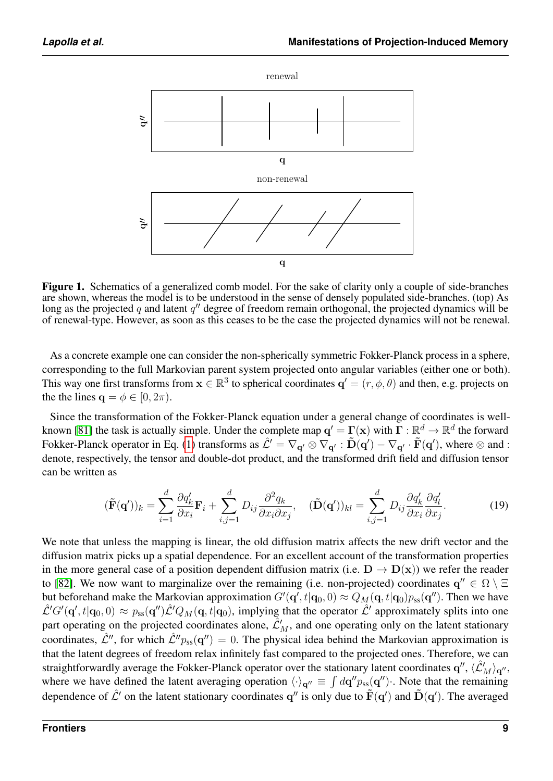<span id="page-8-0"></span>

Figure 1. Schematics of a generalized comb model. For the sake of clarity only a couple of side-branches are shown, whereas the model is to be understood in the sense of densely populated side-branches. (top) As long as the projected  $q$  and latent  $q''$  degree of freedom remain orthogonal, the projected dynamics will be of renewal-type. However, as soon as this ceases to be the case the projected dynamics will not be renewal.

As a concrete example one can consider the non-spherically symmetric Fokker-Planck process in a sphere, corresponding to the full Markovian parent system projected onto angular variables (either one or both). This way one first transforms from  $x \in \mathbb{R}^3$  to spherical coordinates  $\mathbf{q}' = (r, \phi, \theta)$  and then, e.g. projects on the the lines  $\mathbf{q} = \phi \in [0, 2\pi)$ .

Since the transformation of the Fokker-Planck equation under a general change of coordinates is well-known [\[81\]](#page-23-14) the task is actually simple. Under the complete map  $\mathbf{q}' = \mathbf{\Gamma}(\mathbf{x})$  with  $\mathbf{\Gamma} : \mathbb{R}^d \to \mathbb{R}^d$  the forward Fokker-Planck operator in Eq. [\(1\)](#page-1-0) transforms as  $\hat{\mathcal{L}}' = \nabla_{\mathbf{q}'} \otimes \nabla_{\mathbf{q}'} : \tilde{\mathbf{D}}(\mathbf{q}') - \nabla_{\mathbf{q}'} \cdot \tilde{\mathbf{F}}(\mathbf{q}'),$  where  $\otimes$  and : denote, respectively, the tensor and double-dot product, and the transformed drift field and diffusion tensor can be written as

$$
(\tilde{\mathbf{F}}(\mathbf{q}'))_k = \sum_{i=1}^d \frac{\partial q'_k}{\partial x_i} \mathbf{F}_i + \sum_{i,j=1}^d D_{ij} \frac{\partial^2 q_k}{\partial x_i \partial x_j}, \quad (\tilde{\mathbf{D}}(\mathbf{q}'))_{kl} = \sum_{i,j=1}^d D_{ij} \frac{\partial q'_k}{\partial x_i} \frac{\partial q'_l}{\partial x_j}.
$$
 (19)

We note that unless the mapping is linear, the old diffusion matrix affects the new drift vector and the diffusion matrix picks up a spatial dependence. For an excellent account of the transformation properties in the more general case of a position dependent diffusion matrix (i.e.  $D \to D(x)$ ) we refer the reader to [\[82\]](#page-23-15). We now want to marginalize over the remaining (i.e. non-projected) coordinates  $q'' \in \Omega \setminus \Xi$ but beforehand make the Markovian approximation  $G'(\mathbf{q}', t | \mathbf{q}_0, 0) \approx Q_M(\mathbf{q}, t | \mathbf{q}_0) p_{ss}(\mathbf{q}'')$ . Then we have  $\hat{\mathcal{L}}'G'(\mathbf{q}',t|\mathbf{q}_0,0) \approx p_{ss}(\mathbf{q}'')\hat{\mathcal{L}}'Q_M(\mathbf{q},t|\mathbf{q}_0)$ , implying that the operator  $\hat{\mathcal{L}}'$  approximately splits into one part operating on the projected coordinates alone,  $\hat{\mathcal{L}}'_{M}$ , and one operating only on the latent stationary coordinates,  $\hat{\mathcal{L}}''$ , for which  $\hat{\mathcal{L}}''p_{ss}(\mathbf{q}'')=0$ . The physical idea behind the Markovian approximation is that the latent degrees of freedom relax infinitely fast compared to the projected ones. Therefore, we can straightforwardly average the Fokker-Planck operator over the stationary latent coordinates  $q''$ ,  $\langle \hat{\mathcal{L}}'_{M} \rangle_{q''}$ , where we have defined the latent averaging operation  $\langle \cdot \rangle_{\mathbf{q}''} \equiv \int d\mathbf{q}'' p_{ss}(\mathbf{q}'')$ . Note that the remaining dependence of  $\hat{\mathcal{L}}'$  on the latent stationary coordinates  $q''$  is only due to  $\tilde{F}(q')$  and  $\tilde{D}(q')$ . The averaged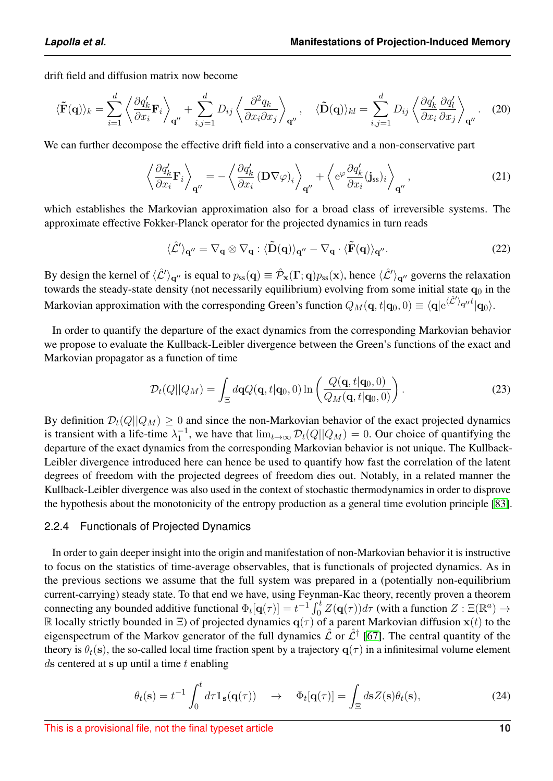drift field and diffusion matrix now become

$$
\langle \tilde{\mathbf{F}}(\mathbf{q}) \rangle_k = \sum_{i=1}^d \left\langle \frac{\partial q'_k}{\partial x_i} \mathbf{F}_i \right\rangle_{\mathbf{q}''} + \sum_{i,j=1}^d D_{ij} \left\langle \frac{\partial^2 q_k}{\partial x_i \partial x_j} \right\rangle_{\mathbf{q}''}, \quad \langle \tilde{\mathbf{D}}(\mathbf{q}) \rangle_{kl} = \sum_{i,j=1}^d D_{ij} \left\langle \frac{\partial q'_k}{\partial x_i} \frac{\partial q'_l}{\partial x_j} \right\rangle_{\mathbf{q}''}. \quad (20)
$$

We can further decompose the effective drift field into a conservative and a non-conservative part

$$
\left\langle \frac{\partial q'_k}{\partial x_i} \mathbf{F}_i \right\rangle_{\mathbf{q}''} = -\left\langle \frac{\partial q'_k}{\partial x_i} \left( \mathbf{D} \nabla \varphi \right)_i \right\rangle_{\mathbf{q}''} + \left\langle e^{\varphi} \frac{\partial q'_k}{\partial x_i} (\mathbf{j}_{ss})_i \right\rangle_{\mathbf{q}''},\tag{21}
$$

which establishes the Markovian approximation also for a broad class of irreversible systems. The approximate effective Fokker-Planck operator for the projected dynamics in turn reads

<span id="page-9-1"></span>
$$
\langle \hat{\mathcal{L}}' \rangle_{\mathbf{q}''} = \nabla_{\mathbf{q}} \otimes \nabla_{\mathbf{q}} : \langle \tilde{\mathbf{D}}(\mathbf{q}) \rangle_{\mathbf{q}''} - \nabla_{\mathbf{q}} \cdot \langle \tilde{\mathbf{F}}(\mathbf{q}) \rangle_{\mathbf{q}''}.
$$
 (22)

By design the kernel of  $\langle \hat{\mathcal{L}}' \rangle_{\mathbf{q}''}$  is equal to  $p_{ss}(\mathbf{q}) \equiv \hat{\mathcal{P}}_{\mathbf{x}}(\mathbf{\Gamma}; \mathbf{q})p_{ss}(\mathbf{x})$ , hence  $\langle \hat{\mathcal{L}}' \rangle_{\mathbf{q}''}$  governs the relaxation towards the steady-state density (not necessarily equilibrium) evolving from some initial state  $q_0$  in the Markovian approximation with the corresponding Green's function  $Q_M(q, t | q_0, 0) \equiv \langle q | e^{\langle \hat{\mathcal{L}}' \rangle_{\mathbf{q}''} t} | q_0 \rangle$ .

In order to quantify the departure of the exact dynamics from the corresponding Markovian behavior we propose to evaluate the Kullback-Leibler divergence between the Green's functions of the exact and Markovian propagator as a function of time

<span id="page-9-2"></span>
$$
\mathcal{D}_t(Q||Q_M) = \int_{\Xi} d\mathbf{q} Q(\mathbf{q}, t|\mathbf{q}_0, 0) \ln\left(\frac{Q(\mathbf{q}, t|\mathbf{q}_0, 0)}{Q_M(\mathbf{q}, t|\mathbf{q}_0, 0)}\right).
$$
(23)

By definition  $\mathcal{D}_t(Q||Q_M) \geq 0$  and since the non-Markovian behavior of the exact projected dynamics is transient with a life-time  $\lambda_1^{-1}$ , we have that  $\lim_{t\to\infty} \mathcal{D}_t(Q||Q_M) = 0$ . Our choice of quantifying the departure of the exact dynamics from the corresponding Markovian behavior is not unique. The Kullback-Leibler divergence introduced here can hence be used to quantify how fast the correlation of the latent degrees of freedom with the projected degrees of freedom dies out. Notably, in a related manner the Kullback-Leibler divergence was also used in the context of stochastic thermodynamics in order to disprove the hypothesis about the monotonicity of the entropy production as a general time evolution principle [\[83\]](#page-23-16).

#### 2.2.4 Functionals of Projected Dynamics

In order to gain deeper insight into the origin and manifestation of non-Markovian behavior it is instructive to focus on the statistics of time-average observables, that is functionals of projected dynamics. As in the previous sections we assume that the full system was prepared in a (potentially non-equilibrium current-carrying) steady state. To that end we have, using Feynman-Kac theory, recently proven a theorem connecting any bounded additive functional  $\Phi_t[\mathbf{q}(\tau)] = t^{-1} \int_0^t Z(\mathbf{q}(\tau)) d\tau$  (with a function  $Z : \Xi(\mathbb{R}^a) \to$ R locally strictly bounded in  $\Xi$ ) of projected dynamics  $q(\tau)$  of a parent Markovian diffusion  $x(t)$  to the eigenspectrum of the Markov generator of the full dynamics  $\hat{\mathcal{L}}$  or  $\hat{\mathcal{L}}^{\dagger}$  [\[67\]](#page-23-0). The central quantity of the theory is  $\theta_t(s)$ , the so-called local time fraction spent by a trajectory  $q(\tau)$  in a infinitesimal volume element  $d$ s centered at s up until a time  $t$  enabling

<span id="page-9-0"></span>
$$
\theta_t(\mathbf{s}) = t^{-1} \int_0^t d\tau \mathbb{1}_{\mathbf{s}}(\mathbf{q}(\tau)) \quad \to \quad \Phi_t[\mathbf{q}(\tau)] = \int_{\Xi} d\mathbf{s} Z(\mathbf{s}) \theta_t(\mathbf{s}), \tag{24}
$$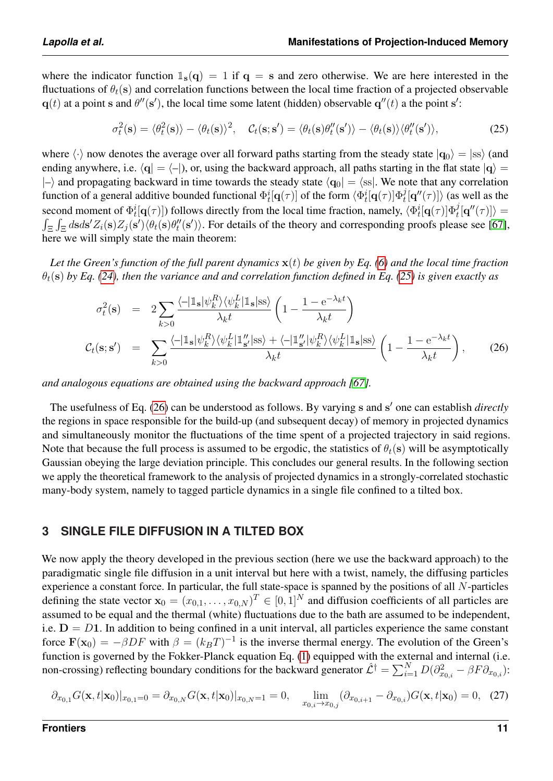where the indicator function  $\mathbb{1}_{s}(q) = 1$  if  $q = s$  and zero otherwise. We are here interested in the fluctuations of  $\theta_t(s)$  and correlation functions between the local time fraction of a projected observable  $q(t)$  at a point s and  $\theta''(s')$ , the local time some latent (hidden) observable  $q''(t)$  a the point s':

<span id="page-10-0"></span>
$$
\sigma_t^2(\mathbf{s}) = \langle \theta_t^2(\mathbf{s}) \rangle - \langle \theta_t(\mathbf{s}) \rangle^2, \quad \mathcal{C}_t(\mathbf{s}; \mathbf{s}') = \langle \theta_t(\mathbf{s}) \theta_t''(\mathbf{s}') \rangle - \langle \theta_t(\mathbf{s}) \rangle \langle \theta_t''(\mathbf{s}') \rangle, \tag{25}
$$

where  $\langle \cdot \rangle$  now denotes the average over all forward paths starting from the steady state  $|q_0\rangle = |ss\rangle$  (and ending anywhere, i.e.  $\langle q| = \langle -|$ ), or, using the backward approach, all paths starting in the flat state  $|q\rangle =$  $|-\rangle$  and propagating backward in time towards the steady state  $|q_0| = \langle s s|$ . We note that any correlation function of a general additive bounded functional  $\Phi_t^i[\mathbf{q}(\tau)]$  of the form  $\langle \Phi_t^i[\mathbf{q}(\tau)]\Phi_t^j[\mathbf{q}''(\tau)]\rangle$  (as well as the second moment of  $\Phi_t^i[\mathbf{q}(\tau)]$ ) follows directly from the local time fraction, namely,  $\langle \Phi_t^i[\mathbf{q}(\tau)]\Phi_t^j[\mathbf{q}(\tau)]$ second moment of  $\Phi_t^i[\mathbf{q}(\tau)]$ ) follows directly from the local time fraction, namely,  $\langle \Phi_t^i[\mathbf{q}(\tau)] \Phi_t^j[\mathbf{q}''(\tau)] \rangle =$ <br> $\int_{\Xi} \int_{\Xi} ds ds' Z_i(s) Z_j(s') \langle \theta_t(s) \theta_t''(s') \rangle$ . For details of the theory and corresponding proofs here we will simply state the main theorem:

*Let the Green's function of the full parent dynamics*  $\mathbf{x}(t)$  *be given by Eq.* [\(6\)](#page-3-1) and the local time fraction  $\theta_t$ (s) *by Eq.* [\(24\)](#page-9-0)*, then the variance and and correlation function defined in Eq.* [\(25\)](#page-10-0) is given exactly as

<span id="page-10-1"></span>
$$
\sigma_t^2(\mathbf{s}) = 2 \sum_{k>0} \frac{\langle -|\mathbb{1}_{\mathbf{s}}| \psi_k^R \rangle \langle \psi_k^L |\mathbb{1}_{\mathbf{s}}| \text{ss} \rangle}{\lambda_k t} \left( 1 - \frac{1 - e^{-\lambda_k t}}{\lambda_k t} \right)
$$
  

$$
\mathcal{C}_t(\mathbf{s}; \mathbf{s}') = \sum_{k>0} \frac{\langle -|\mathbb{1}_{\mathbf{s}}| \psi_k^R \rangle \langle \psi_k^L |\mathbb{1}_{\mathbf{s}'}^H | \text{ss} \rangle + \langle -|\mathbb{1}_{\mathbf{s}'}^H | \psi_k^R \rangle \langle \psi_k^L |\mathbb{1}_{\mathbf{s}} | \text{ss} \rangle}{\lambda_k t} \left( 1 - \frac{1 - e^{-\lambda_k t}}{\lambda_k t} \right), \qquad (26)
$$

*and analogous equations are obtained using the backward approach [\[67\]](#page-23-0)*.

The usefulness of Eq. [\(26\)](#page-10-1) can be understood as follows. By varying s and s' one can establish *directly* the regions in space responsible for the build-up (and subsequent decay) of memory in projected dynamics and simultaneously monitor the fluctuations of the time spent of a projected trajectory in said regions. Note that because the full process is assumed to be ergodic, the statistics of  $\theta_t(s)$  will be asymptotically Gaussian obeying the large deviation principle. This concludes our general results. In the following section we apply the theoretical framework to the analysis of projected dynamics in a strongly-correlated stochastic many-body system, namely to tagged particle dynamics in a single file confined to a tilted box.

### **3 SINGLE FILE DIFFUSION IN A TILTED BOX**

We now apply the theory developed in the previous section (here we use the backward approach) to the paradigmatic single file diffusion in a unit interval but here with a twist, namely, the diffusing particles experience a constant force. In particular, the full state-space is spanned by the positions of all N-particles defining the state vector  $\mathbf{x}_0 = (x_{0,1}, \dots, x_{0,N})^T \in [0,1]^N$  and diffusion coefficients of all particles are assumed to be equal and the thermal (white) fluctuations due to the bath are assumed to be independent, i.e.  $D = D1$ . In addition to being confined in a unit interval, all particles experience the same constant force  $F(x_0) = -\beta DF$  with  $\beta = (k_BT)^{-1}$  is the inverse thermal energy. The evolution of the Green's function is governed by the Fokker-Planck equation Eq. [\(1\)](#page-1-0) equipped with the external and internal (i.e. non-crossing) reflecting boundary conditions for the backward generator  $\hat{\mathcal{L}}^{\dagger} = \sum_{i=1}^{N} D(\partial_{x_{0,i}}^2 - \beta F \partial_{x_{0,i}})$ :

<span id="page-10-2"></span>
$$
\partial_{x_{0,1}} G(\mathbf{x}, t | \mathbf{x}_0)|_{x_{0,1}=0} = \partial_{x_{0,N}} G(\mathbf{x}, t | \mathbf{x}_0)|_{x_{0,N}=1} = 0, \quad \lim_{x_{0,i} \to x_{0,j}} (\partial_{x_{0,i+1}} - \partial_{x_{0,i}}) G(\mathbf{x}, t | \mathbf{x}_0) = 0, \tag{27}
$$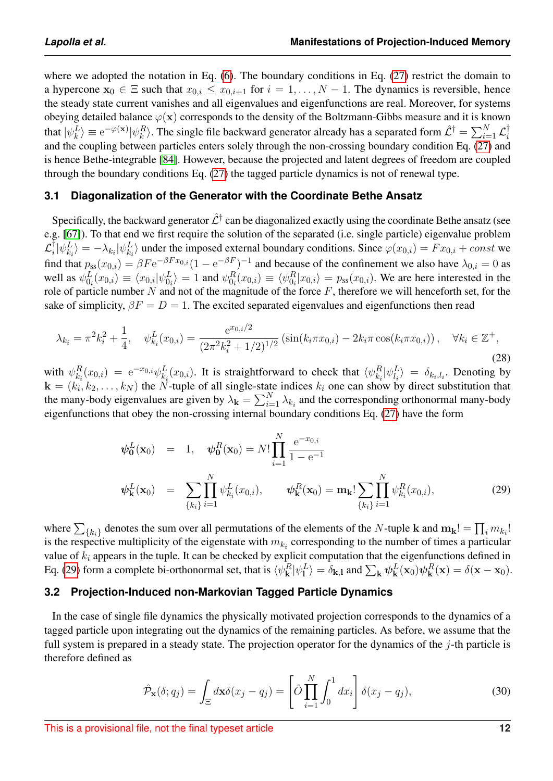where we adopted the notation in Eq. [\(6\)](#page-3-1). The boundary conditions in Eq. [\(27\)](#page-10-2) restrict the domain to a hypercone  $x_0 \in \Xi$  such that  $x_{0,i} \leq x_{0,i+1}$  for  $i = 1, ..., N-1$ . The dynamics is reversible, hence the steady state current vanishes and all eigenvalues and eigenfunctions are real. Moreover, for systems obeying detailed balance  $\varphi(\mathbf{x})$  corresponds to the density of the Boltzmann-Gibbs measure and it is known that  $|\psi_k^L$  $\langle k \rangle \equiv e^{-\varphi(\mathbf{x})} |\psi_k^R|$  $\hat{k}^{R}_{k}$ ). The single file backward generator already has a separated form  $\hat{\mathcal{L}}^{\dagger} = \sum_{i=1}^{N} \mathcal{L}^{\dagger}_{i}$ and the coupling between particles enters solely through the non-crossing boundary condition Eq. [\(27\)](#page-10-2) and is hence Bethe-integrable [\[84\]](#page-23-17). However, because the projected and latent degrees of freedom are coupled through the boundary conditions Eq. [\(27\)](#page-10-2) the tagged particle dynamics is not of renewal type.

#### **3.1 Diagonalization of the Generator with the Coordinate Bethe Ansatz**

Specifically, the backward generator  $\hat{\mathcal{L}}^{\dagger}$  can be diagonalized exactly using the coordinate Bethe ansatz (see e.g. [\[67\]](#page-23-0)). To that end we first require the solution of the separated (i.e. single particle) eigenvalue problem  $\mathcal{L}_i^\dagger|\psi_{k_i}^L$  $\langle \frac{L}{k_i} \rangle = - \lambda_{k_i} |\psi^L_{k_i}|$  $\langle k_i \rangle$  under the imposed external boundary conditions. Since  $\varphi(x_{0,i}) = Fx_{0,i} + const$  we find that  $p_{ss}(x_{0,i}) = \beta F e^{-\beta F x_{0,i}} (1 - e^{-\beta F})^{-1}$  and because of the confinement we also have  $\lambda_{0,i} = 0$  as well as  $\psi_{0_i}^L(x_{0,i}) \equiv \langle x_{0,i} | \psi_{0_i}^L \rangle = 1$  and  $\psi_{0_i}^R(x_{0,i}) \equiv \langle \psi_{0_i}^R | x_{0,i} \rangle = p_{ss}(x_{0,i})$ . We are here interested in the role of particle number N and not of the magnitude of the force  $F$ , therefore we will henceforth set, for the sake of simplicity,  $\beta F = D = 1$ . The excited separated eigenvalues and eigenfunctions then read

<span id="page-11-1"></span>
$$
\lambda_{k_i} = \pi^2 k_i^2 + \frac{1}{4}, \quad \psi_{k_i}^L(x_{0,i}) = \frac{e^{x_{0,i}/2}}{(2\pi^2 k_i^2 + 1/2)^{1/2}} \left( \sin(k_i \pi x_{0,i}) - 2k_i \pi \cos(k_i \pi x_{0,i}) \right), \quad \forall k_i \in \mathbb{Z}^+,
$$
\n(28)

with  $\psi_{k_i}^R$  $\frac{R}{k_i}(x_{0,i}) = e^{-x_{0,i}} \psi^L_{k_i}$  $_{k_i}^L(x_{0,i})$ . It is straightforward to check that  $\langle \psi_{k_i}^R$  $\frac{R}{k_i}|\psi^L_{l_i}$  $\vert_{l_i}^{L}\rangle = \delta_{k_i,l_i}$ . Denoting by  $\mathbf{k} = (k_i, k_2, \dots, k_N)$  the N-tuple of all single-state indices  $k_i$  one can show by direct substitution that the many-body eigenvalues are given by  $\lambda_k = \sum_{i=1}^N \lambda_{k_i}$  and the corresponding orthonormal many-body eigenfunctions that obey the non-crossing internal boundary conditions Eq. [\(27\)](#page-10-2) have the form

<span id="page-11-0"></span>
$$
\psi_0^L(\mathbf{x}_0) = 1, \quad \psi_0^R(\mathbf{x}_0) = N! \prod_{i=1}^N \frac{e^{-x_{0,i}}}{1 - e^{-1}}
$$
\n
$$
\psi_\mathbf{k}^L(\mathbf{x}_0) = \sum_{\{k_i\}} \prod_{i=1}^N \psi_{k_i}^L(x_{0,i}), \qquad \psi_\mathbf{k}^R(\mathbf{x}_0) = \mathbf{m}_\mathbf{k}! \sum_{\{k_i\}} \prod_{i=1}^N \psi_{k_i}^R(x_{0,i}), \tag{29}
$$

where  $\sum_{\{k_i\}}$  denotes the sum over all permutations of the elements of the N-tuple k and  $\mathbf{m_k!} = \prod_i m_{k_i}!$ is the respective multiplicity of the eigenstate with  $m_{k_i}$  corresponding to the number of times a particular value of  $k_i$  appears in the tuple. It can be checked by explicit computation that the eigenfunctions defined in Eq. [\(29\)](#page-11-0) form a complete bi-orthonormal set, that is  $\langle \psi_{\mathbf{k}}^R$  ${}^R_{\mathbf{k}}|\psi^L_{\mathbf{l}}$  $\langle \mathbf{h}_1^L \rangle = \delta_{\mathbf{k},\mathbf{l}}$  and  $\sum_{\mathbf{k}} \psi_{\mathbf{k}}^L(\mathbf{x}_0) \psi_{\mathbf{k}}^R(\mathbf{x}) = \delta(\mathbf{x} - \mathbf{x}_0).$ 

### **3.2 Projection-Induced non-Markovian Tagged Particle Dynamics**

In the case of single file dynamics the physically motivated projection corresponds to the dynamics of a tagged particle upon integrating out the dynamics of the remaining particles. As before, we assume that the full system is prepared in a steady state. The projection operator for the dynamics of the  $j$ -th particle is therefore defined as

$$
\hat{\mathcal{P}}_{\mathbf{x}}(\delta; q_j) = \int_{\Xi} d\mathbf{x} \delta(x_j - q_j) = \left[ \hat{O} \prod_{i=1}^N \int_0^1 dx_i \right] \delta(x_j - q_j), \tag{30}
$$

This is a provisional file, not the final typeset article **12**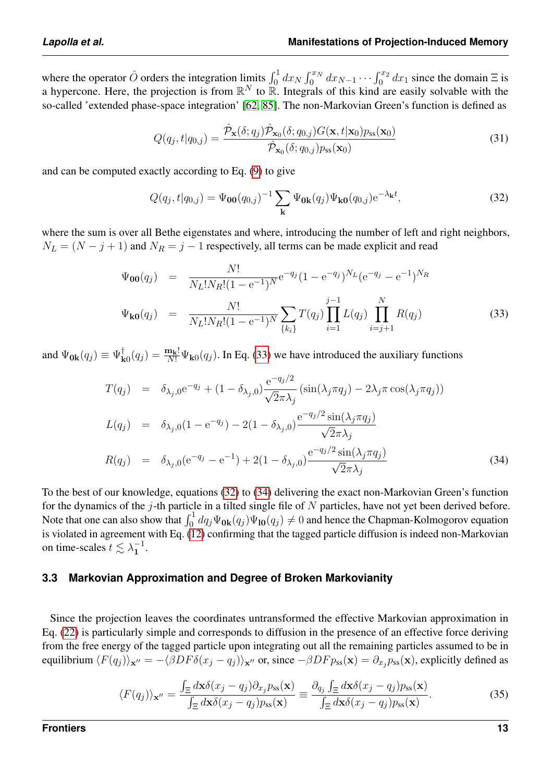where the operator  $\hat{O}$  orders the integration limits  $\int_0^1 dx_N \int_0^{x_N} dx_{N-1} \cdots \int_0^{x_2} dx_1$  since the domain  $\Xi$  is a hypercone. Here, the projection is from  $\mathbb{R}^N$  to  $\mathbb{R}$ . Integrals of this kind are easily solvable with the so-called 'extended phase-space integration' [\[62,](#page-22-14) [85\]](#page-23-18). The non-Markovian Green's function is defined as

$$
Q(q_j, t|q_{0,j}) = \frac{\hat{\mathcal{P}}_{\mathbf{x}}(\delta; q_j)\hat{\mathcal{P}}_{\mathbf{x}_0}(\delta; q_{0,j})G(\mathbf{x}, t|\mathbf{x}_0)p_{ss}(\mathbf{x}_0)}{\hat{\mathcal{P}}_{\mathbf{x}_0}(\delta; q_{0,j})p_{ss}(\mathbf{x}_0)}
$$
(31)

and can be computed exactly according to Eq. [\(9\)](#page-3-4) to give

<span id="page-12-1"></span>
$$
Q(q_j, t|q_{0,j}) = \Psi_{\mathbf{00}}(q_{0,j})^{-1} \sum_{\mathbf{k}} \Psi_{\mathbf{0}\mathbf{k}}(q_j) \Psi_{\mathbf{k0}}(q_{0,j}) e^{-\lambda_{\mathbf{k}}t}, \tag{32}
$$

where the sum is over all Bethe eigenstates and where, introducing the number of left and right neighbors,  $N_L = (N - j + 1)$  and  $N_R = j - 1$  respectively, all terms can be made explicit and read

<span id="page-12-0"></span>
$$
\Psi_{\mathbf{00}}(q_j) = \frac{N!}{N_L! N_R! (1 - e^{-1})^N} e^{-q_j} (1 - e^{-q_j})^{N_L} (e^{-q_j} - e^{-1})^{N_R}
$$
\n
$$
\Psi_{\mathbf{k0}}(q_j) = \frac{N!}{N_L! N_R! (1 - e^{-1})^N} \sum_{\{k_i\}} T(q_j) \prod_{i=1}^{j-1} L(q_j) \prod_{i=j+1}^N R(q_j)
$$
\n(33)

and  $\Psi_{0\mathbf{k}}(q_j) \equiv \Psi_{\mathbf{k}0}^{\dagger}(q_j) = \frac{\mathbf{m}_{\mathbf{k}}!}{N!} \Psi_{\mathbf{k}0}(q_j)$ . In Eq. [\(33\)](#page-12-0) we have introduced the auxiliary functions

<span id="page-12-2"></span>
$$
T(q_j) = \delta_{\lambda_j,0} e^{-q_j} + (1 - \delta_{\lambda_j,0}) \frac{e^{-q_j/2}}{\sqrt{2\pi\lambda_j}} \left( \sin(\lambda_j \pi q_j) - 2\lambda_j \pi \cos(\lambda_j \pi q_j) \right)
$$
  
\n
$$
L(q_j) = \delta_{\lambda_j,0} (1 - e^{-q_j}) - 2(1 - \delta_{\lambda_j,0}) \frac{e^{-q_j/2} \sin(\lambda_j \pi q_j)}{\sqrt{2\pi\lambda_j}}
$$
  
\n
$$
R(q_j) = \delta_{\lambda_j,0} (e^{-q_j} - e^{-1}) + 2(1 - \delta_{\lambda_j,0}) \frac{e^{-q_j/2} \sin(\lambda_j \pi q_j)}{\sqrt{2\pi\lambda_j}}
$$
\n(34)

To the best of our knowledge, equations [\(32\)](#page-12-1) to [\(34\)](#page-12-2) delivering the exact non-Markovian Green's function for the dynamics of the  $j$ -th particle in a tilted single file of  $N$  particles, have not yet been derived before. Note that one can also show that  $\int_0^1 dq_j \Psi_{0k}(q_j) \Psi_{10}(q_j) \neq 0$  and hence the Chapman-Kolmogorov equation is violated in agreement with Eq. [\(12\)](#page-4-0) confirming that the tagged particle diffusion is indeed non-Markovian on time-scales  $t \lesssim \lambda_1^{-1}$ .

#### **3.3 Markovian Approximation and Degree of Broken Markovianity**

Since the projection leaves the coordinates untransformed the effective Markovian approximation in Eq. [\(22\)](#page-9-1) is particularly simple and corresponds to diffusion in the presence of an effective force deriving from the free energy of the tagged particle upon integrating out all the remaining particles assumed to be in equilibrium  $\langle F(q_j) \rangle_{\mathbf{x}''} = -\langle \beta DF \delta(x_j - q_j) \rangle_{\mathbf{x}''}$  or, since  $-\beta DF p_{ss}(\mathbf{x}) = \partial_{x_j} p_{ss}(\mathbf{x})$ , explicitly defined as

$$
\langle F(q_j) \rangle_{\mathbf{x}''} = \frac{\int_{\Xi} d\mathbf{x} \delta(x_j - q_j) \partial_{x_j} p_{ss}(\mathbf{x})}{\int_{\Xi} d\mathbf{x} \delta(x_j - q_j) p_{ss}(\mathbf{x})} \equiv \frac{\partial_{q_j} \int_{\Xi} d\mathbf{x} \delta(x_j - q_j) p_{ss}(\mathbf{x})}{\int_{\Xi} d\mathbf{x} \delta(x_j - q_j) p_{ss}(\mathbf{x})}.
$$
(35)

**Frontiers 13**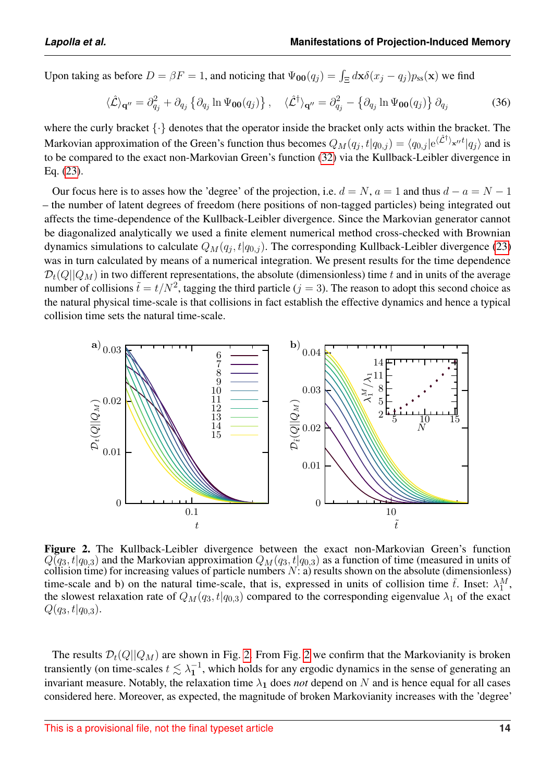Upon taking as before  $D = \beta F = 1$ , and noticing that  $\Psi_{00}(q_j) = \int_{\Xi} d\mathbf{x} \delta(x_j - q_j) p_{ss}(\mathbf{x})$  we find

$$
\langle \hat{\mathcal{L}} \rangle_{\mathbf{q}''} = \partial_{q_j}^2 + \partial_{q_j} \left\{ \partial_{q_j} \ln \Psi_{00}(q_j) \right\}, \quad \langle \hat{\mathcal{L}}^{\dagger} \rangle_{\mathbf{q}''} = \partial_{q_j}^2 - \left\{ \partial_{q_j} \ln \Psi_{00}(q_j) \right\} \partial_{q_j}
$$
(36)

where the curly bracket  $\{\cdot\}$  denotes that the operator inside the bracket only acts within the bracket. The Markovian approximation of the Green's function thus becomes  $Q_M(q_j, t | q_{0,j}) = \langle q_{0,j} | e^{\langle \hat{\mathcal{L}}^\dagger \rangle_{\mathbf{x''}} t} | q_j \rangle$  and is to be compared to the exact non-Markovian Green's function [\(32\)](#page-12-1) via the Kullback-Leibler divergence in Eq. [\(23\)](#page-9-2).

Our focus here is to asses how the 'degree' of the projection, i.e.  $d = N$ ,  $a = 1$  and thus  $d - a = N - 1$ – the number of latent degrees of freedom (here positions of non-tagged particles) being integrated out affects the time-dependence of the Kullback-Leibler divergence. Since the Markovian generator cannot be diagonalized analytically we used a finite element numerical method cross-checked with Brownian dynamics simulations to calculate  $Q_M(q_j, t|q_{0,j})$ . The corresponding Kullback-Leibler divergence [\(23\)](#page-9-2) was in turn calculated by means of a numerical integration. We present results for the time dependence  $\mathcal{D}_t(Q||Q_M)$  in two different representations, the absolute (dimensionless) time t and in units of the average number of collisions  $\tilde{t} = t/N^2$ , tagging the third particle ( $j = 3$ ). The reason to adopt this second choice as the natural physical time-scale is that collisions in fact establish the effective dynamics and hence a typical collision time sets the natural time-scale.

<span id="page-13-0"></span>

Figure 2. The Kullback-Leibler divergence between the exact non-Markovian Green's function  $Q(q_3, t|q_{0,3})$  and the Markovian approximation  $Q_M(q_3, t|q_{0,3})$  as a function of time (measured in units of collision time) for increasing values of particle numbers  $N: a$ ) results shown on the absolute (dimensionless) time-scale and b) on the natural time-scale, that is, expressed in units of collision time  $\tilde{t}$ . Inset:  $\lambda_1^M$ , the slowest relaxation rate of  $Q_M(q_3, t|q_{0,3})$  compared to the corresponding eigenvalue  $\lambda_1$  of the exact  $Q(q_3, t|q_{0,3}).$ 

The results  $\mathcal{D}_t(Q||Q_M)$  are shown in Fig. [2.](#page-13-0) From Fig. [2](#page-13-0) we confirm that the Markovianity is broken transiently (on time-scales  $t \lesssim \lambda_1^{-1}$ , which holds for any ergodic dynamics in the sense of generating an invariant measure. Notably, the relaxation time  $\lambda_1$  does *not* depend on N and is hence equal for all cases considered here. Moreover, as expected, the magnitude of broken Markovianity increases with the 'degree'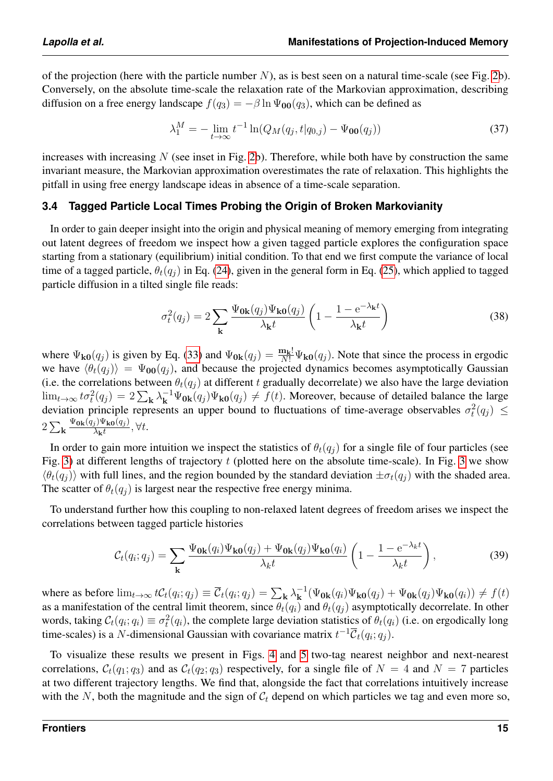of the projection (here with the particle number  $N$ ), as is best seen on a natural time-scale (see Fig. [2b](#page-13-0)). Conversely, on the absolute time-scale the relaxation rate of the Markovian approximation, describing diffusion on a free energy landscape  $f(q_3) = -\beta \ln \Psi_{00}(q_3)$ , which can be defined as

$$
\lambda_1^M = -\lim_{t \to \infty} t^{-1} \ln(Q_M(q_j, t | q_{0,j}) - \Psi_{00}(q_j)) \tag{37}
$$

increases with increasing  $N$  (see inset in Fig. [2b](#page-13-0)). Therefore, while both have by construction the same invariant measure, the Markovian approximation overestimates the rate of relaxation. This highlights the pitfall in using free energy landscape ideas in absence of a time-scale separation.

### **3.4 Tagged Particle Local Times Probing the Origin of Broken Markovianity**

In order to gain deeper insight into the origin and physical meaning of memory emerging from integrating out latent degrees of freedom we inspect how a given tagged particle explores the configuration space starting from a stationary (equilibrium) initial condition. To that end we first compute the variance of local time of a tagged particle,  $\theta_t(q_i)$  in Eq. [\(24\)](#page-9-0), given in the general form in Eq. [\(25\)](#page-10-0), which applied to tagged particle diffusion in a tilted single file reads:

$$
\sigma_t^2(q_j) = 2 \sum_{\mathbf{k}} \frac{\Psi_{\mathbf{0}\mathbf{k}}(q_j) \Psi_{\mathbf{k}\mathbf{0}}(q_j)}{\lambda_{\mathbf{k}} t} \left( 1 - \frac{1 - e^{-\lambda_{\mathbf{k}}t}}{\lambda_{\mathbf{k}}t} \right)
$$
(38)

where  $\Psi_{\mathbf{k0}}(q_j)$  is given by Eq. [\(33\)](#page-12-0) and  $\Psi_{0\mathbf{k}}(q_j) = \frac{\mathbf{m}_{\mathbf{k}}!}{N!} \Psi_{\mathbf{k0}}(q_j)$ . Note that since the process in ergodic we have  $\langle \theta_t(q_j) \rangle = \Psi_{00}(q_j)$ , and because the projected dynamics becomes asymptotically Gaussian (i.e. the correlations between  $\theta_t(q_i)$  at different t gradually decorrelate) we also have the large deviation  $\lim_{t\to\infty} t\sigma_t^2(q_j) = 2\sum_{\mathbf{k}} \lambda_{\mathbf{k}}^{-1} \Psi_{0\mathbf{k}}(q_j) \Psi_{\mathbf{k0}}(q_j) \neq f(t)$ . Moreover, because of detailed balance the large deviation principle represents an upper bound to fluctuations of time-average observables  $\sigma_t^2(q_j) \leq$  $2\sum_{\bf k}$  $\Psi_{0\mathbf{k}}(q_j)\Psi_{\mathbf{k0}}(q_j)$  $\frac{\partial \Psi_{k0}(q_j)}{\partial_k t}, \forall t.$ 

In order to gain more intuition we inspect the statistics of  $\theta_t(q_i)$  for a single file of four particles (see Fig. [3\)](#page-15-0) at different lengths of trajectory  $t$  (plotted here on the absolute time-scale). In Fig. [3](#page-15-0) we show  $\langle \theta_t(q_i) \rangle$  with full lines, and the region bounded by the standard deviation  $\pm \sigma_t(q_i)$  with the shaded area. The scatter of  $\theta_t(q_i)$  is largest near the respective free energy minima.

To understand further how this coupling to non-relaxed latent degrees of freedom arises we inspect the correlations between tagged particle histories

$$
\mathcal{C}_t(q_i; q_j) = \sum_{\mathbf{k}} \frac{\Psi_{\mathbf{0}\mathbf{k}}(q_i)\Psi_{\mathbf{k}\mathbf{0}}(q_j) + \Psi_{\mathbf{0}\mathbf{k}}(q_j)\Psi_{\mathbf{k}\mathbf{0}}(q_i)}{\lambda_k t} \left(1 - \frac{1 - e^{-\lambda_k t}}{\lambda_k t}\right),
$$
(39)

where as before  $\lim_{t\to\infty} tC_t(q_i;q_j) \equiv \overline{C}_t(q_i;q_j) = \sum_{\mathbf{k}} \lambda_{\mathbf{k}}^{-1}(\Psi_{0\mathbf{k}}(q_i)\Psi_{\mathbf{k0}}(q_j) + \Psi_{0\mathbf{k}}(q_j)\Psi_{\mathbf{k0}}(q_i)) \neq f(t)$ as a manifestation of the central limit theorem, since  $\theta_t(q_i)$  and  $\theta_t(q_j)$  asymptotically decorrelate. In other words, taking  $C_t(q_i; q_i) \equiv \sigma_t^2(q_i)$ , the complete large deviation statistics of  $\theta_t(q_i)$  (i.e. on ergodically long time-scales) is a N-dimensional Gaussian with covariance matrix  $t^{-1}\overline{\mathcal{C}}_t(q_i; q_j)$ .

To visualize these results we present in Figs. [4](#page-16-0) and [5](#page-17-0) two-tag nearest neighbor and next-nearest correlations,  $C_t(q_1; q_3)$  and as  $C_t(q_2; q_3)$  respectively, for a single file of  $N = 4$  and  $N = 7$  particles at two different trajectory lengths. We find that, alongside the fact that correlations intuitively increase with the N, both the magnitude and the sign of  $C_t$  depend on which particles we tag and even more so,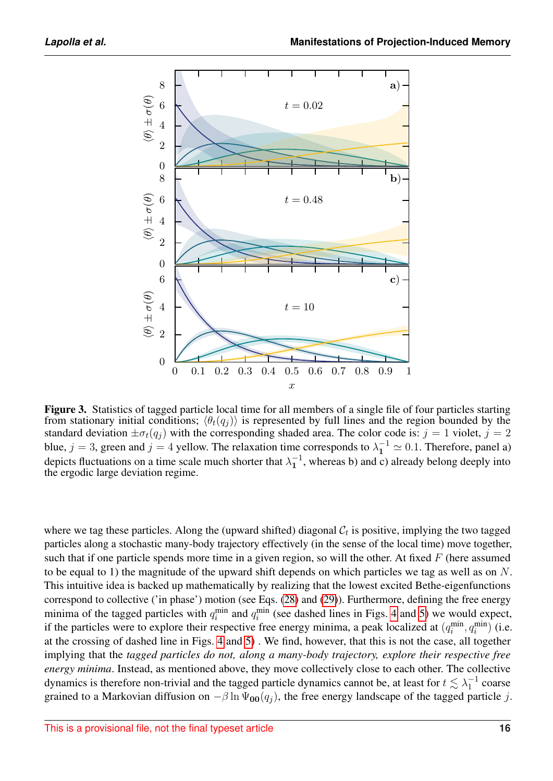<span id="page-15-0"></span>

Figure 3. Statistics of tagged particle local time for all members of a single file of four particles starting from stationary initial conditions;  $\langle \theta_t(q_i) \rangle$  is represented by full lines and the region bounded by the standard deviation  $\pm \sigma_t(q_i)$  with the corresponding shaded area. The color code is:  $j = 1$  violet,  $j = 2$ blue,  $j = 3$ , green and  $j = 4$  yellow. The relaxation time corresponds to  $\lambda_1^{-1} \simeq 0.1$ . Therefore, panel a) depicts fluctuations on a time scale much shorter that  $\lambda_1^{-1}$ , whereas b) and c) already belong deeply into the ergodic large deviation regime.

where we tag these particles. Along the (upward shifted) diagonal  $C_t$  is positive, implying the two tagged particles along a stochastic many-body trajectory effectively (in the sense of the local time) move together, such that if one particle spends more time in a given region, so will the other. At fixed  $F$  (here assumed to be equal to 1) the magnitude of the upward shift depends on which particles we tag as well as on N. This intuitive idea is backed up mathematically by realizing that the lowest excited Bethe-eigenfunctions correspond to collective ('in phase') motion (see Eqs. [\(28\)](#page-11-1) and [\(29\)](#page-11-0)). Furthermore, defining the free energy minima of the tagged particles with  $q_i^{\min}$  and  $q_i^{\min}$  (see dashed lines in Figs. [4](#page-16-0) and [5\)](#page-17-0) we would expect, if the particles were to explore their respective free energy minima, a peak localized at  $(q_i^{\min}, q_i^{\min})$  (i.e. at the crossing of dashed line in Figs. [4](#page-16-0) and [5\)](#page-17-0) . We find, however, that this is not the case, all together implying that the *tagged particles do not, along a many-body trajectory, explore their respective free energy minima*. Instead, as mentioned above, they move collectively close to each other. The collective dynamics is therefore non-trivial and the tagged particle dynamics cannot be, at least for  $t \lesssim \lambda_1^{-1}$  coarse grained to a Markovian diffusion on  $-\beta \ln \Psi_{00}(q_i)$ , the free energy landscape of the tagged particle j.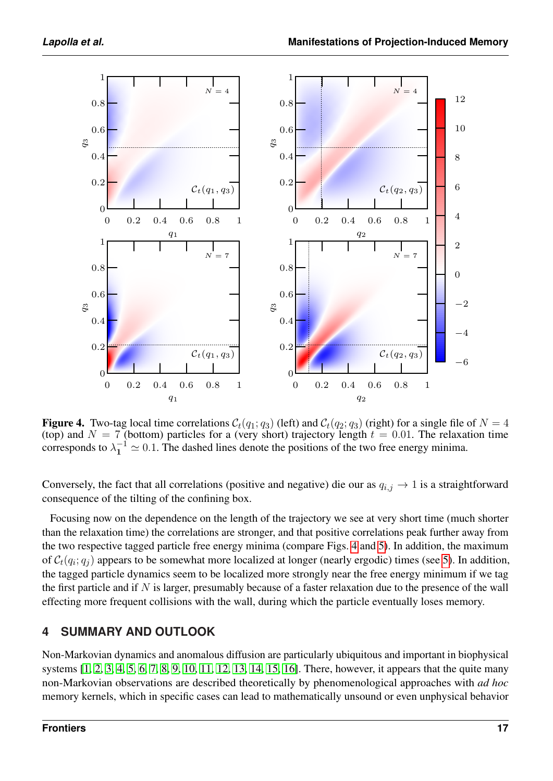<span id="page-16-0"></span>

**Figure 4.** Two-tag local time correlations  $C_t(q_1; q_3)$  (left) and  $C_t(q_2; q_3)$  (right) for a single file of  $N = 4$ (top) and  $N = 7$  (bottom) particles for a (very short) trajectory length  $t = 0.01$ . The relaxation time corresponds to  $\lambda_1^{-1} \simeq 0.1$ . The dashed lines denote the positions of the two free energy minima.

Conversely, the fact that all correlations (positive and negative) die our as  $q_{i,j} \to 1$  is a straightforward consequence of the tilting of the confining box.

Focusing now on the dependence on the length of the trajectory we see at very short time (much shorter than the relaxation time) the correlations are stronger, and that positive correlations peak further away from the two respective tagged particle free energy minima (compare Figs. [4](#page-16-0) and [5\)](#page-17-0). In addition, the maximum of  $C_t(q_i; q_j)$  appears to be somewhat more localized at longer (nearly ergodic) times (see [5\)](#page-17-0). In addition, the tagged particle dynamics seem to be localized more strongly near the free energy minimum if we tag the first particle and if  $N$  is larger, presumably because of a faster relaxation due to the presence of the wall effecting more frequent collisions with the wall, during which the particle eventually loses memory.

# **4 SUMMARY AND OUTLOOK**

Non-Markovian dynamics and anomalous diffusion are particularly ubiquitous and important in biophysical systems [\[1,](#page-19-0) [2,](#page-19-1) [3,](#page-19-2) [4,](#page-19-3) [5,](#page-19-4) [6,](#page-19-5) [7,](#page-19-6) [8,](#page-19-7) [9,](#page-19-8) [10,](#page-19-9) [11,](#page-20-0) [12,](#page-20-1) [13,](#page-20-2) [14,](#page-20-3) [15,](#page-20-4) [16\]](#page-20-5). There, however, it appears that the quite many non-Markovian observations are described theoretically by phenomenological approaches with *ad hoc* memory kernels, which in specific cases can lead to mathematically unsound or even unphysical behavior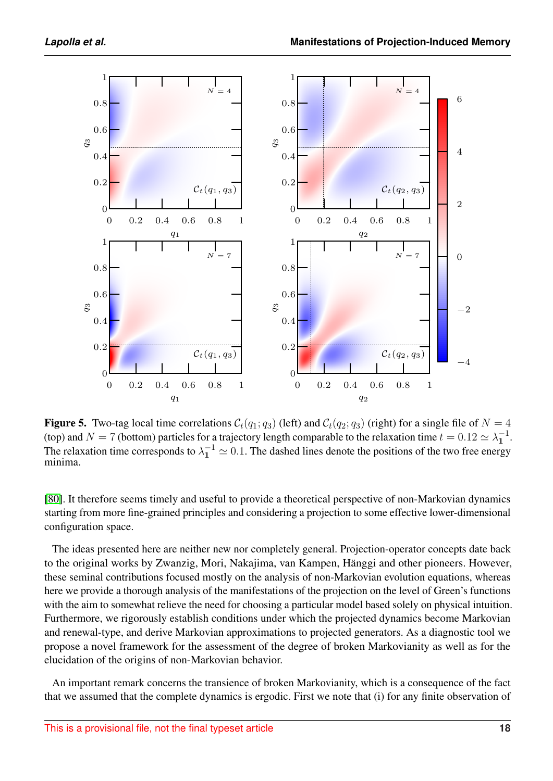<span id="page-17-0"></span>

**Figure 5.** Two-tag local time correlations  $C_t(q_1; q_3)$  (left) and  $C_t(q_2; q_3)$  (right) for a single file of  $N = 4$ (top) and  $N = 7$  (bottom) particles for a trajectory length comparable to the relaxation time  $t = 0.12 \simeq \lambda_1^{-1}$ . The relaxation time corresponds to  $\lambda_1^{-1} \simeq 0.1$ . The dashed lines denote the positions of the two free energy minima.

[\[80\]](#page-23-13). It therefore seems timely and useful to provide a theoretical perspective of non-Markovian dynamics starting from more fine-grained principles and considering a projection to some effective lower-dimensional configuration space.

The ideas presented here are neither new nor completely general. Projection-operator concepts date back to the original works by Zwanzig, Mori, Nakajima, van Kampen, Hänggi and other pioneers. However, these seminal contributions focused mostly on the analysis of non-Markovian evolution equations, whereas here we provide a thorough analysis of the manifestations of the projection on the level of Green's functions with the aim to somewhat relieve the need for choosing a particular model based solely on physical intuition. Furthermore, we rigorously establish conditions under which the projected dynamics become Markovian and renewal-type, and derive Markovian approximations to projected generators. As a diagnostic tool we propose a novel framework for the assessment of the degree of broken Markovianity as well as for the elucidation of the origins of non-Markovian behavior.

An important remark concerns the transience of broken Markovianity, which is a consequence of the fact that we assumed that the complete dynamics is ergodic. First we note that (i) for any finite observation of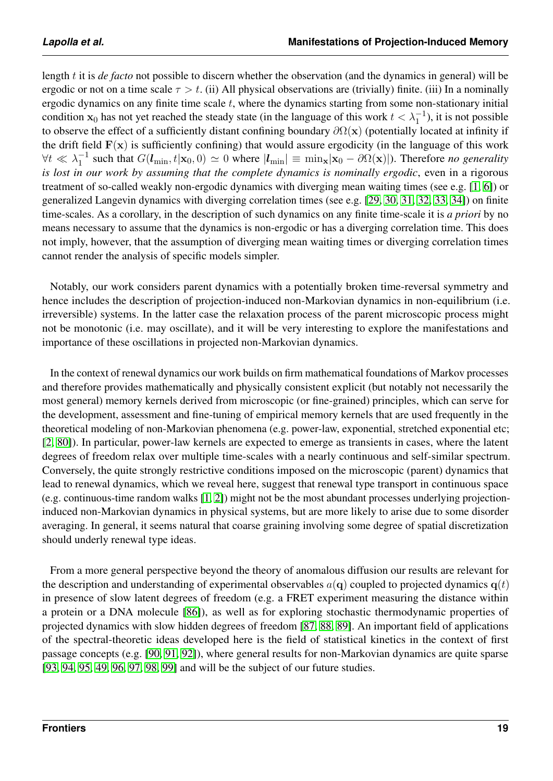length t it is *de facto* not possible to discern whether the observation (and the dynamics in general) will be ergodic or not on a time scale  $\tau > t$ . (ii) All physical observations are (trivially) finite. (iii) In a nominally ergodic dynamics on any finite time scale  $t$ , where the dynamics starting from some non-stationary initial condition  $x_0$  has not yet reached the steady state (in the language of this work  $t < \lambda_1^{-1}$ ), it is not possible to observe the effect of a sufficiently distant confining boundary  $\partial\Omega(x)$  (potentially located at infinity if the drift field  $F(x)$  is sufficiently confining) that would assure ergodicity (in the language of this work  $\forall t \ll \lambda_1^{-1}$  such that  $G(\mathbf{l}_{\min}, t | \mathbf{x}_0, 0) \simeq 0$  where  $|\mathbf{l}_{\min}| \equiv \min_{\mathbf{x}} |\mathbf{x}_0 - \partial \Omega(\mathbf{x})|$ ). Therefore *no generality is lost in our work by assuming that the complete dynamics is nominally ergodic*, even in a rigorous treatment of so-called weakly non-ergodic dynamics with diverging mean waiting times (see e.g. [\[1,](#page-19-0) [6\]](#page-19-5)) or generalized Langevin dynamics with diverging correlation times (see e.g. [\[29,](#page-21-1) [30,](#page-21-2) [31,](#page-21-3) [32,](#page-21-4) [33,](#page-21-5) [34\]](#page-21-6)) on finite time-scales. As a corollary, in the description of such dynamics on any finite time-scale it is *a priori* by no means necessary to assume that the dynamics is non-ergodic or has a diverging correlation time. This does not imply, however, that the assumption of diverging mean waiting times or diverging correlation times cannot render the analysis of specific models simpler.

Notably, our work considers parent dynamics with a potentially broken time-reversal symmetry and hence includes the description of projection-induced non-Markovian dynamics in non-equilibrium (i.e. irreversible) systems. In the latter case the relaxation process of the parent microscopic process might not be monotonic (i.e. may oscillate), and it will be very interesting to explore the manifestations and importance of these oscillations in projected non-Markovian dynamics.

In the context of renewal dynamics our work builds on firm mathematical foundations of Markov processes and therefore provides mathematically and physically consistent explicit (but notably not necessarily the most general) memory kernels derived from microscopic (or fine-grained) principles, which can serve for the development, assessment and fine-tuning of empirical memory kernels that are used frequently in the theoretical modeling of non-Markovian phenomena (e.g. power-law, exponential, stretched exponential etc; [\[2,](#page-19-1) [80\]](#page-23-13)). In particular, power-law kernels are expected to emerge as transients in cases, where the latent degrees of freedom relax over multiple time-scales with a nearly continuous and self-similar spectrum. Conversely, the quite strongly restrictive conditions imposed on the microscopic (parent) dynamics that lead to renewal dynamics, which we reveal here, suggest that renewal type transport in continuous space (e.g. continuous-time random walks [\[1,](#page-19-0) [2\]](#page-19-1)) might not be the most abundant processes underlying projectioninduced non-Markovian dynamics in physical systems, but are more likely to arise due to some disorder averaging. In general, it seems natural that coarse graining involving some degree of spatial discretization should underly renewal type ideas.

From a more general perspective beyond the theory of anomalous diffusion our results are relevant for the description and understanding of experimental observables  $a(q)$  coupled to projected dynamics  $q(t)$ in presence of slow latent degrees of freedom (e.g. a FRET experiment measuring the distance within a protein or a DNA molecule [\[86\]](#page-23-19)), as well as for exploring stochastic thermodynamic properties of projected dynamics with slow hidden degrees of freedom [\[87,](#page-24-0) [88,](#page-24-1) [89\]](#page-24-2). An important field of applications of the spectral-theoretic ideas developed here is the field of statistical kinetics in the context of first passage concepts (e.g. [\[90,](#page-24-3) [91,](#page-24-4) [92\]](#page-24-5)), where general results for non-Markovian dynamics are quite sparse [\[93,](#page-24-6) [94,](#page-24-7) [95,](#page-24-8) [49,](#page-22-1) [96,](#page-24-9) [97,](#page-24-10) [98,](#page-24-11) [99\]](#page-24-12) and will be the subject of our future studies.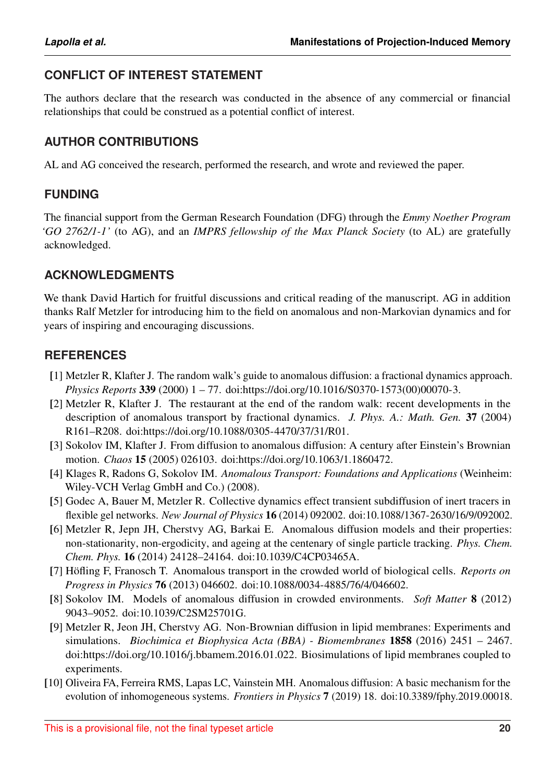# **CONFLICT OF INTEREST STATEMENT**

The authors declare that the research was conducted in the absence of any commercial or financial relationships that could be construed as a potential conflict of interest.

# **AUTHOR CONTRIBUTIONS**

AL and AG conceived the research, performed the research, and wrote and reviewed the paper.

# **FUNDING**

The financial support from the German Research Foundation (DFG) through the *Emmy Noether Program 'GO 2762/1-1'* (to AG), and an *IMPRS fellowship of the Max Planck Society* (to AL) are gratefully acknowledged.

# **ACKNOWLEDGMENTS**

We thank David Hartich for fruitful discussions and critical reading of the manuscript. AG in addition thanks Ralf Metzler for introducing him to the field on anomalous and non-Markovian dynamics and for years of inspiring and encouraging discussions.

# **REFERENCES**

- <span id="page-19-0"></span>[1] Metzler R, Klafter J. The random walk's guide to anomalous diffusion: a fractional dynamics approach. *Physics Reports* 339 (2000) 1 – 77. doi:https://doi.org/10.1016/S0370-1573(00)00070-3.
- <span id="page-19-1"></span>[2] Metzler R, Klafter J. The restaurant at the end of the random walk: recent developments in the description of anomalous transport by fractional dynamics. *J. Phys. A.: Math. Gen.* 37 (2004) R161–R208. doi:https://doi.org/10.1088/0305-4470/37/31/R01.
- <span id="page-19-2"></span>[3] Sokolov IM, Klafter J. From diffusion to anomalous diffusion: A century after Einstein's Brownian motion. *Chaos* 15 (2005) 026103. doi:https://doi.org/10.1063/1.1860472.
- <span id="page-19-3"></span>[4] Klages R, Radons G, Sokolov IM. *Anomalous Transport: Foundations and Applications* (Weinheim: Wiley-VCH Verlag GmbH and Co.) (2008).
- <span id="page-19-4"></span>[5] Godec A, Bauer M, Metzler R. Collective dynamics effect transient subdiffusion of inert tracers in flexible gel networks. *New Journal of Physics* 16 (2014) 092002. doi:10.1088/1367-2630/16/9/092002.
- <span id="page-19-5"></span>[6] Metzler R, Jepn JH, Cherstvy AG, Barkai E. Anomalous diffusion models and their properties: non-stationarity, non-ergodicity, and ageing at the centenary of single particle tracking. *Phys. Chem. Chem. Phys.* 16 (2014) 24128–24164. doi:10.1039/C4CP03465A.
- <span id="page-19-6"></span>[7] Hofling F, Franosch T. Anomalous transport in the crowded world of biological cells. ¨ *Reports on Progress in Physics* 76 (2013) 046602. doi:10.1088/0034-4885/76/4/046602.
- <span id="page-19-7"></span>[8] Sokolov IM. Models of anomalous diffusion in crowded environments. *Soft Matter* 8 (2012) 9043–9052. doi:10.1039/C2SM25701G.
- <span id="page-19-8"></span>[9] Metzler R, Jeon JH, Cherstvy AG. Non-Brownian diffusion in lipid membranes: Experiments and simulations. *Biochimica et Biophysica Acta (BBA) - Biomembranes* 1858 (2016) 2451 – 2467. doi:https://doi.org/10.1016/j.bbamem.2016.01.022. Biosimulations of lipid membranes coupled to experiments.
- <span id="page-19-9"></span>[10] Oliveira FA, Ferreira RMS, Lapas LC, Vainstein MH. Anomalous diffusion: A basic mechanism for the evolution of inhomogeneous systems. *Frontiers in Physics* 7 (2019) 18. doi:10.3389/fphy.2019.00018.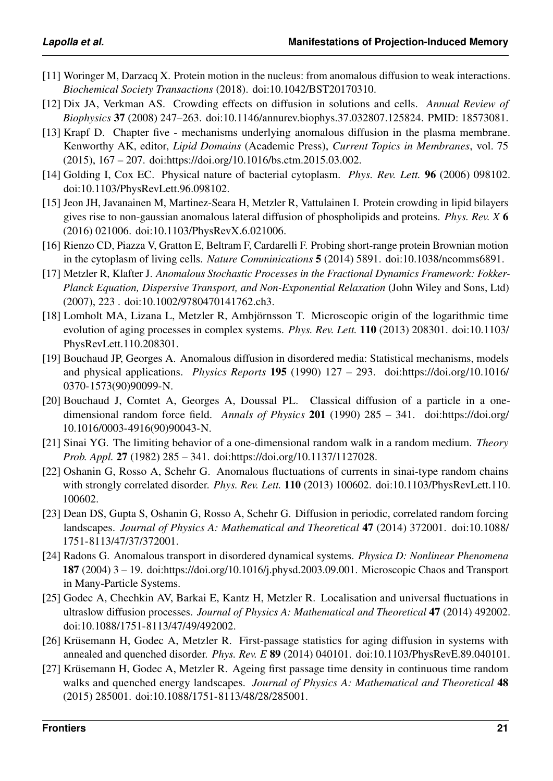- <span id="page-20-0"></span>[11] Woringer M, Darzacq X. Protein motion in the nucleus: from anomalous diffusion to weak interactions. *Biochemical Society Transactions* (2018). doi:10.1042/BST20170310.
- <span id="page-20-1"></span>[12] Dix JA, Verkman AS. Crowding effects on diffusion in solutions and cells. *Annual Review of Biophysics* 37 (2008) 247–263. doi:10.1146/annurev.biophys.37.032807.125824. PMID: 18573081.
- <span id="page-20-2"></span>[13] Krapf D. Chapter five - mechanisms underlying anomalous diffusion in the plasma membrane. Kenworthy AK, editor, *Lipid Domains* (Academic Press), *Current Topics in Membranes*, vol. 75 (2015), 167 – 207. doi:https://doi.org/10.1016/bs.ctm.2015.03.002.
- <span id="page-20-3"></span>[14] Golding I, Cox EC. Physical nature of bacterial cytoplasm. *Phys. Rev. Lett.* 96 (2006) 098102. doi:10.1103/PhysRevLett.96.098102.
- <span id="page-20-4"></span>[15] Jeon JH, Javanainen M, Martinez-Seara H, Metzler R, Vattulainen I. Protein crowding in lipid bilayers gives rise to non-gaussian anomalous lateral diffusion of phospholipids and proteins. *Phys. Rev. X* 6 (2016) 021006. doi:10.1103/PhysRevX.6.021006.
- <span id="page-20-5"></span>[16] Rienzo CD, Piazza V, Gratton E, Beltram F, Cardarelli F. Probing short-range protein Brownian motion in the cytoplasm of living cells. *Nature Comminications* 5 (2014) 5891. doi:10.1038/ncomms6891.
- <span id="page-20-6"></span>[17] Metzler R, Klafter J. *Anomalous Stochastic Processes in the Fractional Dynamics Framework: Fokker-Planck Equation, Dispersive Transport, and Non-Exponential Relaxation* (John Wiley and Sons, Ltd) (2007), 223 . doi:10.1002/9780470141762.ch3.
- <span id="page-20-7"></span>[18] Lomholt MA, Lizana L, Metzler R, Ambjörnsson T. Microscopic origin of the logarithmic time evolution of aging processes in complex systems. *Phys. Rev. Lett.* 110 (2013) 208301. doi:10.1103/ PhysRevLett.110.208301.
- <span id="page-20-8"></span>[19] Bouchaud JP, Georges A. Anomalous diffusion in disordered media: Statistical mechanisms, models and physical applications. *Physics Reports* 195 (1990) 127 – 293. doi:https://doi.org/10.1016/ 0370-1573(90)90099-N.
- <span id="page-20-9"></span>[20] Bouchaud J, Comtet A, Georges A, Doussal PL. Classical diffusion of a particle in a onedimensional random force field. *Annals of Physics* 201 (1990) 285 – 341. doi:https://doi.org/ 10.1016/0003-4916(90)90043-N.
- <span id="page-20-10"></span>[21] Sinai YG. The limiting behavior of a one-dimensional random walk in a random medium. *Theory Prob. Appl.* 27 (1982) 285 – 341. doi:https://doi.org/10.1137/1127028.
- <span id="page-20-11"></span>[22] Oshanin G, Rosso A, Schehr G. Anomalous fluctuations of currents in sinai-type random chains with strongly correlated disorder. *Phys. Rev. Lett.* 110 (2013) 100602. doi:10.1103/PhysRevLett.110. 100602.
- <span id="page-20-12"></span>[23] Dean DS, Gupta S, Oshanin G, Rosso A, Schehr G. Diffusion in periodic, correlated random forcing landscapes. *Journal of Physics A: Mathematical and Theoretical* 47 (2014) 372001. doi:10.1088/ 1751-8113/47/37/372001.
- <span id="page-20-13"></span>[24] Radons G. Anomalous transport in disordered dynamical systems. *Physica D: Nonlinear Phenomena* 187 (2004) 3 – 19. doi:https://doi.org/10.1016/j.physd.2003.09.001. Microscopic Chaos and Transport in Many-Particle Systems.
- <span id="page-20-14"></span>[25] Godec A, Chechkin AV, Barkai E, Kantz H, Metzler R. Localisation and universal fluctuations in ultraslow diffusion processes. *Journal of Physics A: Mathematical and Theoretical* 47 (2014) 492002. doi:10.1088/1751-8113/47/49/492002.
- <span id="page-20-15"></span>[26] Krüsemann H, Godec A, Metzler R. First-passage statistics for aging diffusion in systems with annealed and quenched disorder. *Phys. Rev. E* 89 (2014) 040101. doi:10.1103/PhysRevE.89.040101.
- <span id="page-20-16"></span>[27] Krüsemann H, Godec A, Metzler R. Ageing first passage time density in continuous time random walks and quenched energy landscapes. *Journal of Physics A: Mathematical and Theoretical* 48 (2015) 285001. doi:10.1088/1751-8113/48/28/285001.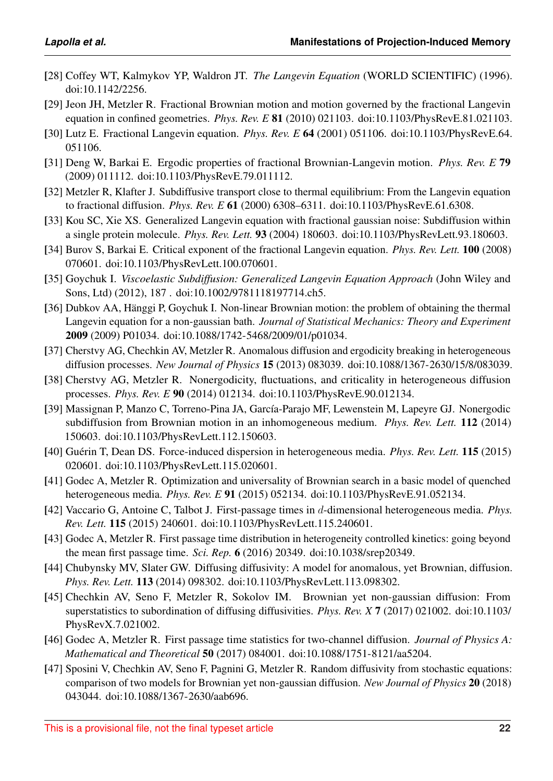- <span id="page-21-0"></span>[28] Coffey WT, Kalmykov YP, Waldron JT. *The Langevin Equation* (WORLD SCIENTIFIC) (1996). doi:10.1142/2256.
- <span id="page-21-1"></span>[29] Jeon JH, Metzler R. Fractional Brownian motion and motion governed by the fractional Langevin equation in confined geometries. *Phys. Rev. E* 81 (2010) 021103. doi:10.1103/PhysRevE.81.021103.
- <span id="page-21-2"></span>[30] Lutz E. Fractional Langevin equation. *Phys. Rev. E* 64 (2001) 051106. doi:10.1103/PhysRevE.64. 051106.
- <span id="page-21-3"></span>[31] Deng W, Barkai E. Ergodic properties of fractional Brownian-Langevin motion. *Phys. Rev. E* 79 (2009) 011112. doi:10.1103/PhysRevE.79.011112.
- <span id="page-21-4"></span>[32] Metzler R, Klafter J. Subdiffusive transport close to thermal equilibrium: From the Langevin equation to fractional diffusion. *Phys. Rev. E* 61 (2000) 6308–6311. doi:10.1103/PhysRevE.61.6308.
- <span id="page-21-5"></span>[33] Kou SC, Xie XS. Generalized Langevin equation with fractional gaussian noise: Subdiffusion within a single protein molecule. *Phys. Rev. Lett.* 93 (2004) 180603. doi:10.1103/PhysRevLett.93.180603.
- <span id="page-21-6"></span>[34] Burov S, Barkai E. Critical exponent of the fractional Langevin equation. *Phys. Rev. Lett.* 100 (2008) 070601. doi:10.1103/PhysRevLett.100.070601.
- <span id="page-21-7"></span>[35] Goychuk I. *Viscoelastic Subdiffusion: Generalized Langevin Equation Approach* (John Wiley and Sons, Ltd) (2012), 187 . doi:10.1002/9781118197714.ch5.
- <span id="page-21-8"></span>[36] Dubkov AA, Hänggi P, Goychuk I. Non-linear Brownian motion: the problem of obtaining the thermal Langevin equation for a non-gaussian bath. *Journal of Statistical Mechanics: Theory and Experiment* 2009 (2009) P01034. doi:10.1088/1742-5468/2009/01/p01034.
- <span id="page-21-9"></span>[37] Cherstvy AG, Chechkin AV, Metzler R. Anomalous diffusion and ergodicity breaking in heterogeneous diffusion processes. *New Journal of Physics* 15 (2013) 083039. doi:10.1088/1367-2630/15/8/083039.
- <span id="page-21-10"></span>[38] Cherstvy AG, Metzler R. Nonergodicity, fluctuations, and criticality in heterogeneous diffusion processes. *Phys. Rev. E* 90 (2014) 012134. doi:10.1103/PhysRevE.90.012134.
- <span id="page-21-11"></span>[39] Massignan P, Manzo C, Torreno-Pina JA, García-Parajo MF, Lewenstein M, Lapeyre GJ. Nonergodic subdiffusion from Brownian motion in an inhomogeneous medium. *Phys. Rev. Lett.* 112 (2014) 150603. doi:10.1103/PhysRevLett.112.150603.
- <span id="page-21-12"></span>[40] Guérin T, Dean DS. Force-induced dispersion in heterogeneous media. Phys. Rev. Lett. 115 (2015) 020601. doi:10.1103/PhysRevLett.115.020601.
- <span id="page-21-13"></span>[41] Godec A, Metzler R. Optimization and universality of Brownian search in a basic model of quenched heterogeneous media. *Phys. Rev. E* 91 (2015) 052134. doi:10.1103/PhysRevE.91.052134.
- <span id="page-21-14"></span>[42] Vaccario G, Antoine C, Talbot J. First-passage times in d-dimensional heterogeneous media. *Phys. Rev. Lett.* 115 (2015) 240601. doi:10.1103/PhysRevLett.115.240601.
- <span id="page-21-15"></span>[43] Godec A, Metzler R. First passage time distribution in heterogeneity controlled kinetics: going beyond the mean first passage time. *Sci. Rep.* 6 (2016) 20349. doi:10.1038/srep20349.
- <span id="page-21-16"></span>[44] Chubynsky MV, Slater GW. Diffusing diffusivity: A model for anomalous, yet Brownian, diffusion. *Phys. Rev. Lett.* 113 (2014) 098302. doi:10.1103/PhysRevLett.113.098302.
- <span id="page-21-17"></span>[45] Chechkin AV, Seno F, Metzler R, Sokolov IM. Brownian yet non-gaussian diffusion: From superstatistics to subordination of diffusing diffusivities. *Phys. Rev. X* 7 (2017) 021002. doi:10.1103/ PhysRevX.7.021002.
- <span id="page-21-18"></span>[46] Godec A, Metzler R. First passage time statistics for two-channel diffusion. *Journal of Physics A: Mathematical and Theoretical* 50 (2017) 084001. doi:10.1088/1751-8121/aa5204.
- <span id="page-21-19"></span>[47] Sposini V, Chechkin AV, Seno F, Pagnini G, Metzler R. Random diffusivity from stochastic equations: comparison of two models for Brownian yet non-gaussian diffusion. *New Journal of Physics* 20 (2018) 043044. doi:10.1088/1367-2630/aab696.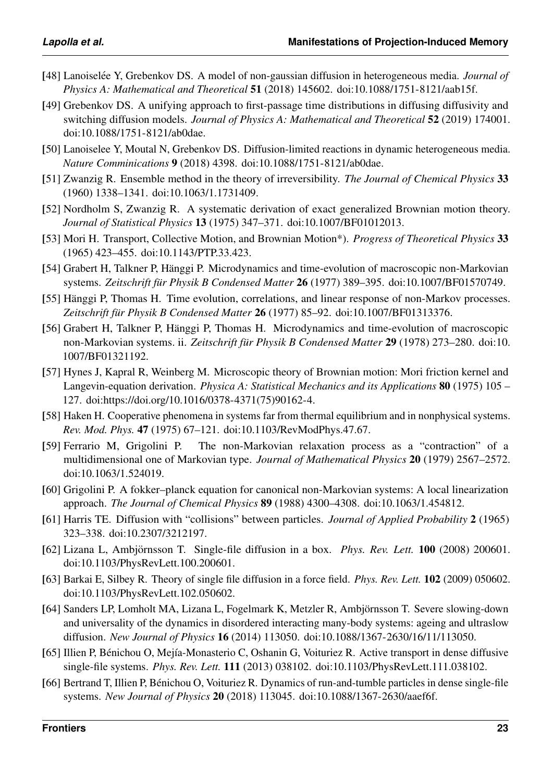- <span id="page-22-0"></span>[48] Lanoiselée Y, Grebenkov DS. A model of non-gaussian diffusion in heterogeneous media. *Journal of Physics A: Mathematical and Theoretical* 51 (2018) 145602. doi:10.1088/1751-8121/aab15f.
- <span id="page-22-1"></span>[49] Grebenkov DS. A unifying approach to first-passage time distributions in diffusing diffusivity and switching diffusion models. *Journal of Physics A: Mathematical and Theoretical* 52 (2019) 174001. doi:10.1088/1751-8121/ab0dae.
- <span id="page-22-2"></span>[50] Lanoiselee Y, Moutal N, Grebenkov DS. Diffusion-limited reactions in dynamic heterogeneous media. *Nature Comminications* 9 (2018) 4398. doi:10.1088/1751-8121/ab0dae.
- <span id="page-22-3"></span>[51] Zwanzig R. Ensemble method in the theory of irreversibility. *The Journal of Chemical Physics* 33 (1960) 1338–1341. doi:10.1063/1.1731409.
- <span id="page-22-4"></span>[52] Nordholm S, Zwanzig R. A systematic derivation of exact generalized Brownian motion theory. *Journal of Statistical Physics* 13 (1975) 347–371. doi:10.1007/BF01012013.
- <span id="page-22-5"></span>[53] Mori H. Transport, Collective Motion, and Brownian Motion\*). *Progress of Theoretical Physics* 33 (1965) 423–455. doi:10.1143/PTP.33.423.
- <span id="page-22-6"></span>[54] Grabert H, Talkner P, Hänggi P. Microdynamics and time-evolution of macroscopic non-Markovian systems. *Zeitschrift für Physik B Condensed Matter* **26** (1977) 389–395. doi:10.1007/BF01570749.
- <span id="page-22-7"></span>[55] Hänggi P, Thomas H. Time evolution, correlations, and linear response of non-Markov processes. Zeitschrift für Physik B Condensed Matter **26** (1977) 85–92. doi:10.1007/BF01313376.
- <span id="page-22-8"></span>[56] Grabert H, Talkner P, Hänggi P, Thomas H. Microdynamics and time-evolution of macroscopic non-Markovian systems. ii. *Zeitschrift für Physik B Condensed Matter* **29** (1978) 273–280. doi:10. 1007/BF01321192.
- <span id="page-22-9"></span>[57] Hynes J, Kapral R, Weinberg M. Microscopic theory of Brownian motion: Mori friction kernel and Langevin-equation derivation. *Physica A: Statistical Mechanics and its Applications* 80 (1975) 105 – 127. doi:https://doi.org/10.1016/0378-4371(75)90162-4.
- <span id="page-22-10"></span>[58] Haken H. Cooperative phenomena in systems far from thermal equilibrium and in nonphysical systems. *Rev. Mod. Phys.* 47 (1975) 67–121. doi:10.1103/RevModPhys.47.67.
- <span id="page-22-11"></span>[59] Ferrario M, Grigolini P. The non-Markovian relaxation process as a "contraction" of a multidimensional one of Markovian type. *Journal of Mathematical Physics* 20 (1979) 2567–2572. doi:10.1063/1.524019.
- <span id="page-22-12"></span>[60] Grigolini P. A fokker–planck equation for canonical non-Markovian systems: A local linearization approach. *The Journal of Chemical Physics* 89 (1988) 4300–4308. doi:10.1063/1.454812.
- <span id="page-22-13"></span>[61] Harris TE. Diffusion with "collisions" between particles. *Journal of Applied Probability* 2 (1965) 323–338. doi:10.2307/3212197.
- <span id="page-22-14"></span>[62] Lizana L, Ambjörnsson T. Single-file diffusion in a box. Phys. Rev. Lett. 100 (2008) 200601. doi:10.1103/PhysRevLett.100.200601.
- <span id="page-22-15"></span>[63] Barkai E, Silbey R. Theory of single file diffusion in a force field. *Phys. Rev. Lett.* 102 (2009) 050602. doi:10.1103/PhysRevLett.102.050602.
- <span id="page-22-16"></span>[64] Sanders LP, Lomholt MA, Lizana L, Fogelmark K, Metzler R, Ambjörnsson T. Severe slowing-down and universality of the dynamics in disordered interacting many-body systems: ageing and ultraslow diffusion. *New Journal of Physics* 16 (2014) 113050. doi:10.1088/1367-2630/16/11/113050.
- <span id="page-22-17"></span>[65] Illien P, Bénichou O, Mejía-Monasterio C, Oshanin G, Voituriez R. Active transport in dense diffusive single-file systems. *Phys. Rev. Lett.* 111 (2013) 038102. doi:10.1103/PhysRevLett.111.038102.
- <span id="page-22-18"></span>[66] Bertrand T, Illien P, Benichou O, Voituriez R. Dynamics of run-and-tumble particles in dense single-file ´ systems. *New Journal of Physics* 20 (2018) 113045. doi:10.1088/1367-2630/aaef6f.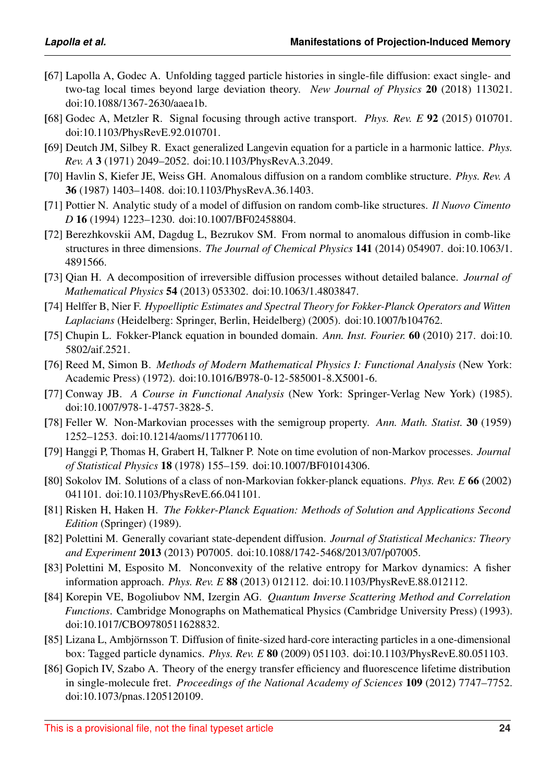- <span id="page-23-0"></span>[67] Lapolla A, Godec A. Unfolding tagged particle histories in single-file diffusion: exact single- and two-tag local times beyond large deviation theory. *New Journal of Physics* 20 (2018) 113021. doi:10.1088/1367-2630/aaea1b.
- <span id="page-23-1"></span>[68] Godec A, Metzler R. Signal focusing through active transport. *Phys. Rev. E* 92 (2015) 010701. doi:10.1103/PhysRevE.92.010701.
- <span id="page-23-2"></span>[69] Deutch JM, Silbey R. Exact generalized Langevin equation for a particle in a harmonic lattice. *Phys. Rev. A* 3 (1971) 2049–2052. doi:10.1103/PhysRevA.3.2049.
- <span id="page-23-3"></span>[70] Havlin S, Kiefer JE, Weiss GH. Anomalous diffusion on a random comblike structure. *Phys. Rev. A* 36 (1987) 1403–1408. doi:10.1103/PhysRevA.36.1403.
- <span id="page-23-4"></span>[71] Pottier N. Analytic study of a model of diffusion on random comb-like structures. *Il Nuovo Cimento D* 16 (1994) 1223–1230. doi:10.1007/BF02458804.
- <span id="page-23-5"></span>[72] Berezhkovskii AM, Dagdug L, Bezrukov SM. From normal to anomalous diffusion in comb-like structures in three dimensions. *The Journal of Chemical Physics* 141 (2014) 054907. doi:10.1063/1. 4891566.
- <span id="page-23-6"></span>[73] Qian H. A decomposition of irreversible diffusion processes without detailed balance. *Journal of Mathematical Physics* 54 (2013) 053302. doi:10.1063/1.4803847.
- <span id="page-23-7"></span>[74] Helffer B, Nier F. *Hypoelliptic Estimates and Spectral Theory for Fokker-Planck Operators and Witten Laplacians* (Heidelberg: Springer, Berlin, Heidelberg) (2005). doi:10.1007/b104762.
- <span id="page-23-8"></span>[75] Chupin L. Fokker-Planck equation in bounded domain. *Ann. Inst. Fourier.* 60 (2010) 217. doi:10. 5802/aif.2521.
- <span id="page-23-9"></span>[76] Reed M, Simon B. *Methods of Modern Mathematical Physics I: Functional Analysis* (New York: Academic Press) (1972). doi:10.1016/B978-0-12-585001-8.X5001-6.
- <span id="page-23-10"></span>[77] Conway JB. *A Course in Functional Analysis* (New York: Springer-Verlag New York) (1985). doi:10.1007/978-1-4757-3828-5.
- <span id="page-23-11"></span>[78] Feller W. Non-Markovian processes with the semigroup property. *Ann. Math. Statist.* 30 (1959) 1252–1253. doi:10.1214/aoms/1177706110.
- <span id="page-23-12"></span>[79] Hanggi P, Thomas H, Grabert H, Talkner P. Note on time evolution of non-Markov processes. *Journal of Statistical Physics* 18 (1978) 155–159. doi:10.1007/BF01014306.
- <span id="page-23-13"></span>[80] Sokolov IM. Solutions of a class of non-Markovian fokker-planck equations. *Phys. Rev. E* 66 (2002) 041101. doi:10.1103/PhysRevE.66.041101.
- <span id="page-23-14"></span>[81] Risken H, Haken H. *The Fokker-Planck Equation: Methods of Solution and Applications Second Edition* (Springer) (1989).
- <span id="page-23-15"></span>[82] Polettini M. Generally covariant state-dependent diffusion. *Journal of Statistical Mechanics: Theory and Experiment* 2013 (2013) P07005. doi:10.1088/1742-5468/2013/07/p07005.
- <span id="page-23-16"></span>[83] Polettini M, Esposito M. Nonconvexity of the relative entropy for Markov dynamics: A fisher information approach. *Phys. Rev. E* 88 (2013) 012112. doi:10.1103/PhysRevE.88.012112.
- <span id="page-23-17"></span>[84] Korepin VE, Bogoliubov NM, Izergin AG. *Quantum Inverse Scattering Method and Correlation Functions*. Cambridge Monographs on Mathematical Physics (Cambridge University Press) (1993). doi:10.1017/CBO9780511628832.
- <span id="page-23-18"></span>[85] Lizana L, Ambjörnsson T. Diffusion of finite-sized hard-core interacting particles in a one-dimensional box: Tagged particle dynamics. *Phys. Rev. E* 80 (2009) 051103. doi:10.1103/PhysRevE.80.051103.
- <span id="page-23-19"></span>[86] Gopich IV, Szabo A. Theory of the energy transfer efficiency and fluorescence lifetime distribution in single-molecule fret. *Proceedings of the National Academy of Sciences* 109 (2012) 7747–7752. doi:10.1073/pnas.1205120109.